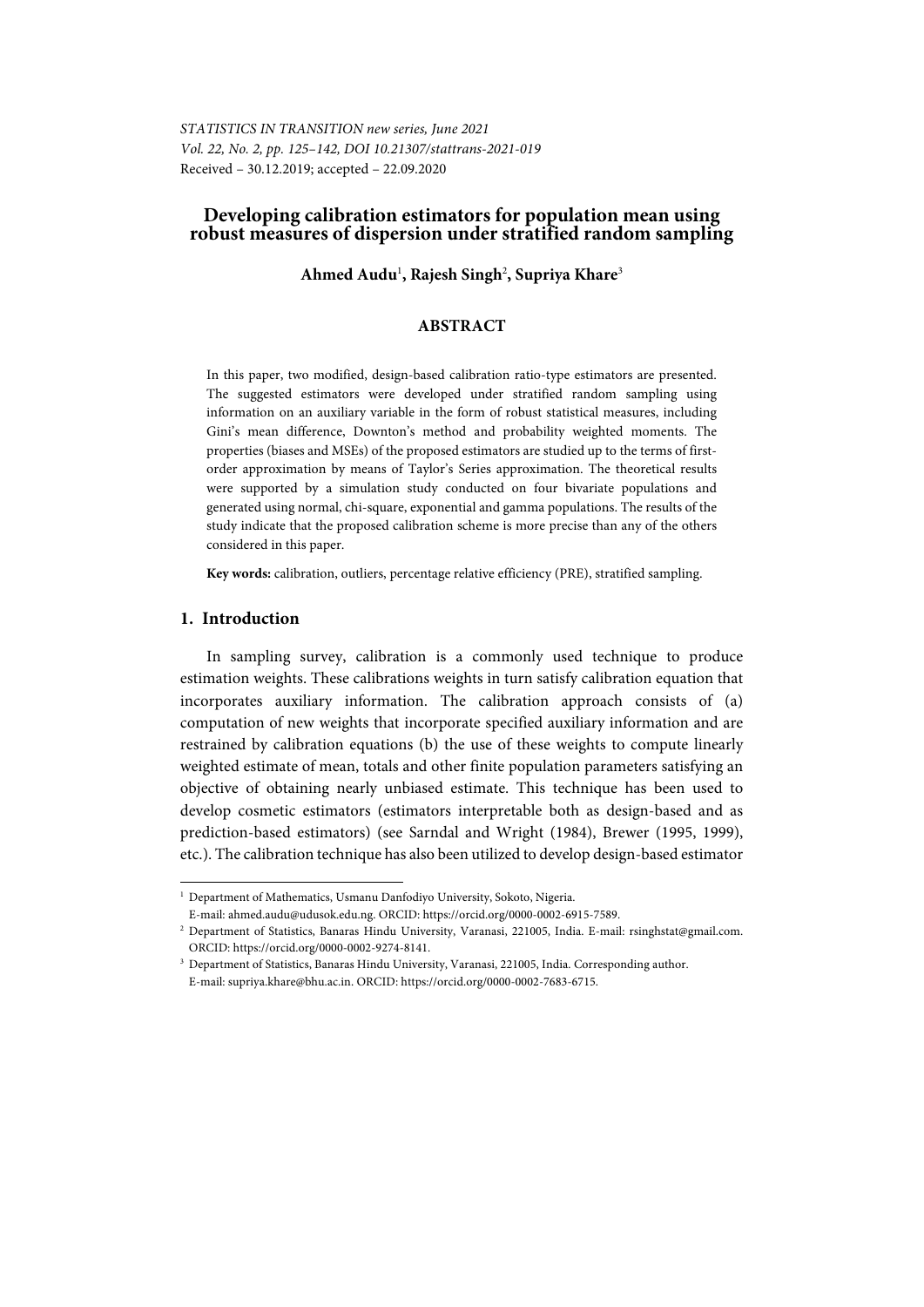*STATISTICS IN TRANSITION new series, June 2021 Vol. 22, No. 2, pp. 125–142, DOI 10.21307/stattrans-2021-019*  Received – 30.12.2019; accepted – 22.09.2020

## **Developing calibration estimators for population mean using robust measures of dispersion under stratified random sampling**

Ahmed Audu<sup>1</sup>, Rajesh Singh<sup>2</sup>, Supriya Khare<sup>3</sup>

### **ABSTRACT**

In this paper, two modified, design-based calibration ratio-type estimators are presented. The suggested estimators were developed under stratified random sampling using information on an auxiliary variable in the form of robust statistical measures, including Gini's mean difference, Downton's method and probability weighted moments. The properties (biases and MSEs) of the proposed estimators are studied up to the terms of firstorder approximation by means of Taylor's Series approximation. The theoretical results were supported by a simulation study conducted on four bivariate populations and generated using normal, chi-square, exponential and gamma populations. The results of the study indicate that the proposed calibration scheme is more precise than any of the others considered in this paper.

**Key words:** calibration, outliers, percentage relative efficiency (PRE), stratified sampling.

## **1. Introduction**

l

In sampling survey, calibration is a commonly used technique to produce estimation weights. These calibrations weights in turn satisfy calibration equation that incorporates auxiliary information. The calibration approach consists of (a) computation of new weights that incorporate specified auxiliary information and are restrained by calibration equations (b) the use of these weights to compute linearly weighted estimate of mean, totals and other finite population parameters satisfying an objective of obtaining nearly unbiased estimate. This technique has been used to develop cosmetic estimators (estimators interpretable both as design-based and as prediction-based estimators) (see Sarndal and Wright (1984), Brewer (1995, 1999), etc.). The calibration technique has also been utilized to develop design-based estimator

<sup>1</sup> Department of Mathematics, Usmanu Danfodiyo University, Sokoto, Nigeria.

E-mail: ahmed.audu@udusok.edu.ng. ORCID: https://orcid.org/0000-0002-6915-7589. 2

<sup>&</sup>lt;sup>2</sup> Department of Statistics, Banaras Hindu University, Varanasi, 221005, India. E-mail: rsinghstat@gmail.com. ORCID: https://orcid.org/0000-0002-9274-8141. 3

<sup>&</sup>lt;sup>3</sup> Department of Statistics, Banaras Hindu University, Varanasi, 221005, India. Corresponding author. E-mail: supriya.khare@bhu.ac.in. ORCID: https://orcid.org/0000-0002-7683-6715.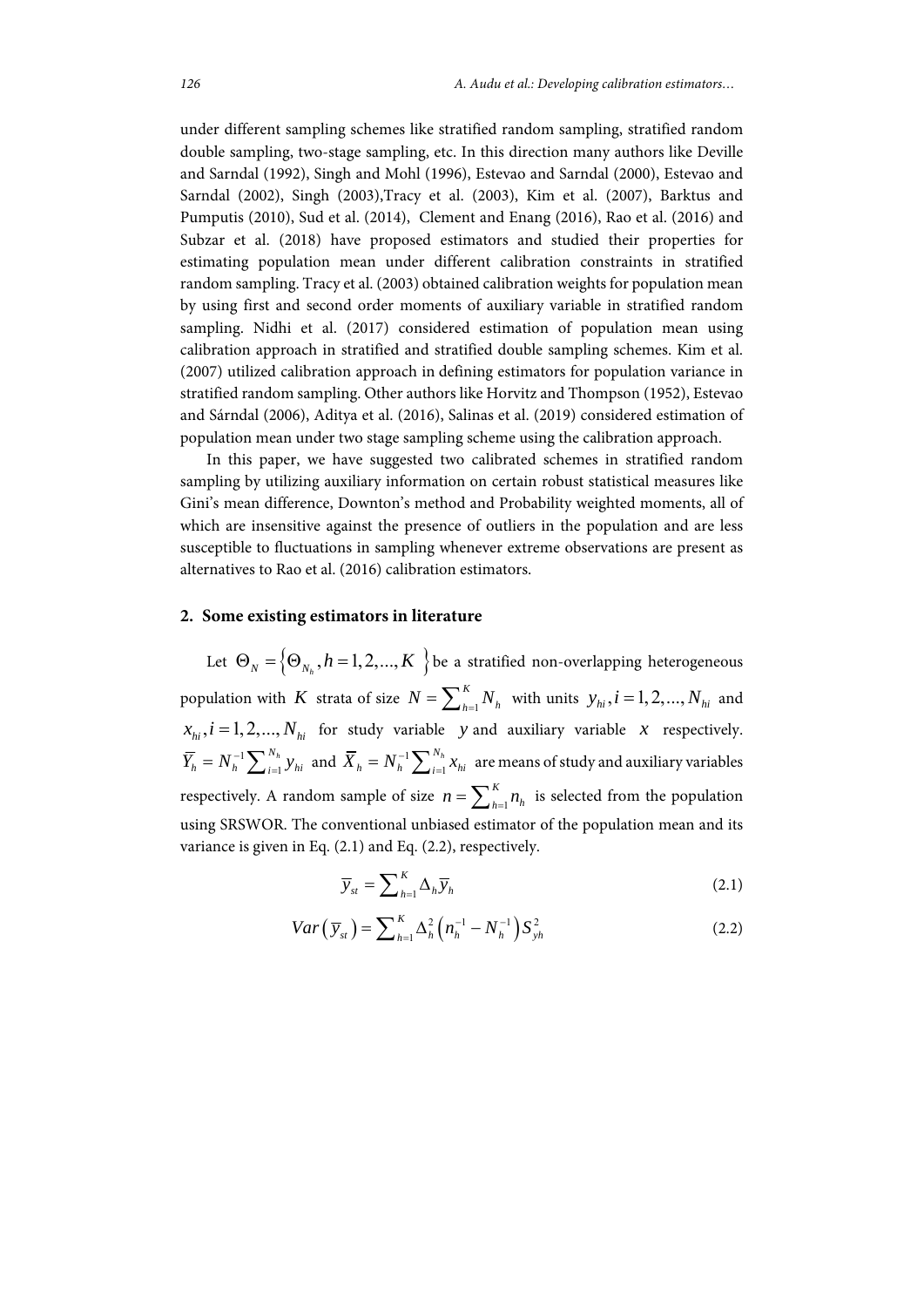under different sampling schemes like stratified random sampling, stratified random double sampling, two-stage sampling, etc. In this direction many authors like Deville and Sarndal (1992), Singh and Mohl (1996), Estevao and Sarndal (2000), Estevao and Sarndal (2002), Singh (2003),Tracy et al. (2003), Kim et al. (2007), Barktus and Pumputis (2010), Sud et al. (2014), Clement and Enang (2016), Rao et al. (2016) and Subzar et al. (2018) have proposed estimators and studied their properties for estimating population mean under different calibration constraints in stratified random sampling. Tracy et al. (2003) obtained calibration weights for population mean by using first and second order moments of auxiliary variable in stratified random sampling. Nidhi et al. (2017) considered estimation of population mean using calibration approach in stratified and stratified double sampling schemes. Kim et al. (2007) utilized calibration approach in defining estimators for population variance in stratified random sampling. Other authors like Horvitz and Thompson (1952), Estevao and Sárndal (2006), Aditya et al. (2016), Salinas et al. (2019) considered estimation of population mean under two stage sampling scheme using the calibration approach.

In this paper, we have suggested two calibrated schemes in stratified random sampling by utilizing auxiliary information on certain robust statistical measures like Gini's mean difference, Downton's method and Probability weighted moments, all of which are insensitive against the presence of outliers in the population and are less susceptible to fluctuations in sampling whenever extreme observations are present as alternatives to Rao et al. (2016) calibration estimators.

#### **2. Some existing estimators in literature**

Let  $\Theta_N = \left\{\Theta_{N_h}, h=1,2,...,K \right\}$  be a stratified non-overlapping heterogeneous population with  $K$  strata of size  $N = \sum_{h=1}^{K}$ *K*  $N = \sum_{h=1}^{K} N_h$  with units  $y_{hi}$ ,  $i = 1, 2, ..., N_{hi}$  and  $x_{hi}$ ,  $i = 1,2,..., N_{hi}$  for study variable *y* and auxiliary variable *x* respectively. 1 1  $\overline{Y}_h = N_h^{-1} \sum_{i=1}^{N_h} y_{hi}$  and  $\overline{X}_h = N_h^{-1} \sum_{i=1}^{N_h}$  $\overline{X}_h = N_h^{-1} \sum_{i=1}^{N_h} x_{hi}$  are means of study and auxiliary variables respectively. A random sample of size  $n = \sum_{h=1}^{K}$  $n = \sum_{h=1}^{K} n_h$  is selected from the population using SRSWOR. The conventional unbiased estimator of the population mean and its variance is given in Eq. (2.1) and Eq. (2.2), respectively.

$$
\overline{y}_{st} = \sum_{h=1}^{K} \Delta_h \overline{y}_h
$$
\n(2.1)

$$
Var\left(\overline{y}_{st}\right) = \sum_{h=1}^{K} \Delta_h^2 \left(n_h^{-1} - N_h^{-1}\right) S_{yh}^2 \tag{2.2}
$$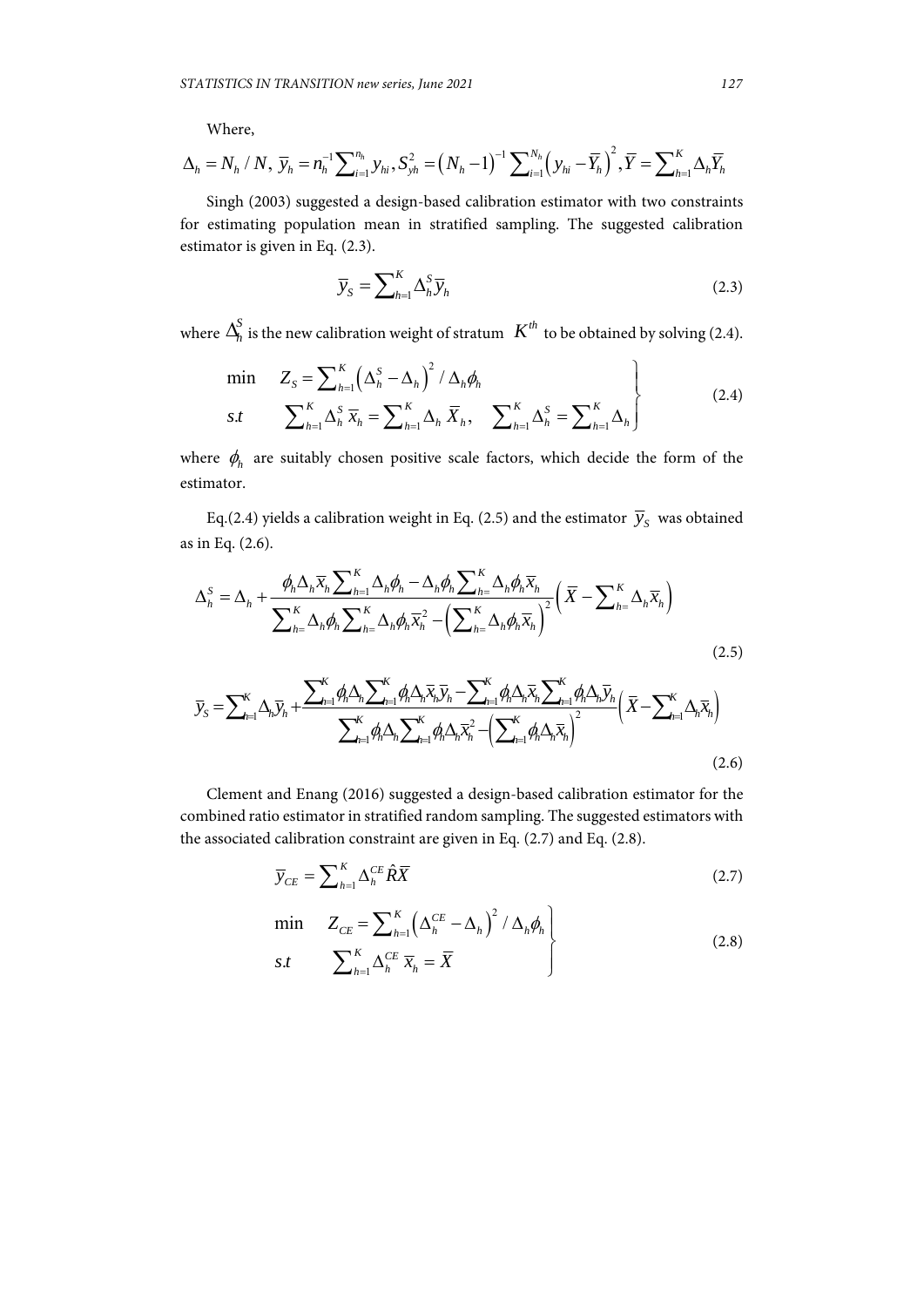Where,

$$
\Delta_h = N_h / N, \ \overline{y}_h = n_h^{-1} \sum_{i=1}^{n_h} y_{hi}, \ S_{yh}^2 = (N_h - 1)^{-1} \sum_{i=1}^{N_h} (y_{hi} - \overline{Y}_h)^2, \overline{Y} = \sum_{h=1}^{K} \Delta_h \overline{Y}_h
$$

Singh (2003) suggested a design-based calibration estimator with two constraints for estimating population mean in stratified sampling. The suggested calibration estimator is given in Eq. (2.3).

$$
\overline{y}_{S} = \sum_{h=1}^{K} \Delta_h^S \overline{y}_h
$$
\n(2.3)

where  $\Delta_h^S$  is the new calibration weight of stratum  $K^{th}$  to be obtained by solving (2.4).

$$
\min \quad Z_{S} = \sum_{h=1}^{K} \left( \Delta_{h}^{S} - \Delta_{h} \right)^{2} / \Delta_{h} \phi_{h}
$$
\n
$$
s.t \quad \sum_{h=1}^{K} \Delta_{h}^{S} \overline{x}_{h} = \sum_{h=1}^{K} \Delta_{h} \overline{X}_{h}, \quad \sum_{h=1}^{K} \Delta_{h}^{S} = \sum_{h=1}^{K} \Delta_{h}
$$
\n
$$
(2.4)
$$

where  $\phi_h$  are suitably chosen positive scale factors, which decide the form of the estimator.

Eq.(2.4) yields a calibration weight in Eq. (2.5) and the estimator  $\bar{y}_s$  was obtained as in Eq. (2.6).

$$
\Delta_h^S = \Delta_h + \frac{\phi_h \Delta_h \overline{x}_h \sum_{h=1}^K \Delta_h \phi_h - \Delta_h \phi_h \sum_{h=1}^K \Delta_h \phi_h \overline{x}_h}{\sum_{h=1}^K \Delta_h \phi_h \sum_{h=1}^K \Delta_h \phi_h \overline{x}_h^2 - \left(\sum_{h=1}^K \Delta_h \phi_h \overline{x}_h\right)^2} \left(\overline{X} - \sum_{h=1}^K \Delta_h \overline{x}_h\right)
$$
\n
$$
\overline{y}_S = \sum_{h=1}^K \Delta_h \overline{y}_h + \frac{\sum_{h=1}^K \phi_h \Delta_h \sum_{h=1}^K \phi_h \Delta_h \overline{x}_h \overline{y}_h - \sum_{h=1}^K \phi_h \Delta_h \overline{x}_h \sum_{h=1}^K \phi_h \Delta_h \overline{y}_h}{\sum_{h=1}^K \phi_h \Delta_h \sum_{h=1}^K \phi_h \Delta_h \overline{x}_h^2 - \left(\sum_{h=1}^K \phi_h \Delta_h \overline{x}_h\right)^2}
$$
\n(2.5)

 Clement and Enang (2016) suggested a design-based calibration estimator for the combined ratio estimator in stratified random sampling. The suggested estimators with the associated calibration constraint are given in Eq. (2.7) and Eq. (2.8).

 $\sum_{i=1}^n r_i - h \sum_{j=1}^n r_j - h^{(r)}h$   $\sum_{j=1}^n$ 

$$
\overline{y}_{CE} = \sum_{h=1}^{K} \Delta_h^{CE} \hat{R} \overline{X}
$$
 (2.7)

$$
\min \quad Z_{CE} = \sum_{h=1}^{K} \left( \Delta_h^{CE} - \Delta_h \right)^2 / \Delta_h \phi_h
$$
\n
$$
s.t \quad \sum_{h=1}^{K} \Delta_h^{CE} \overline{x}_h = \overline{X}
$$
\n
$$
(2.8)
$$

(2.6)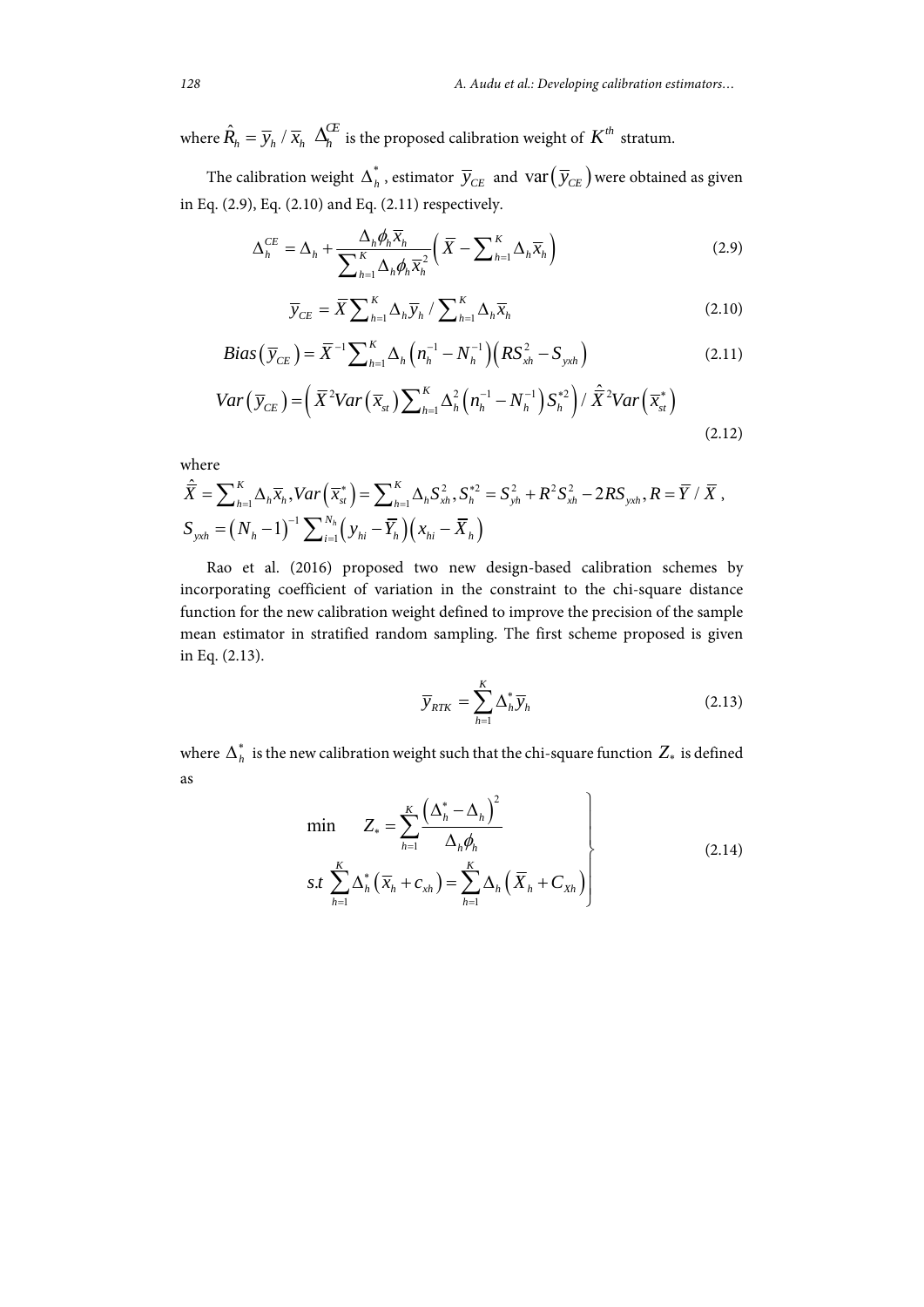where  $\hat{R}_h = \overline{y}_h / \overline{x}_h \Delta_h^C$  is the proposed calibration weight of  $K^{th}$  stratum.

The calibration weight  $\Delta_h^*$ , estimator  $\overline{y}_{CE}$  and  $var(\overline{y}_{CE})$  were obtained as given in Eq. (2.9), Eq. (2.10) and Eq. (2.11) respectively.

$$
\Delta_h^{CE} = \Delta_h + \frac{\Delta_h \phi_h \overline{x}_h}{\sum_{h=1}^K \Delta_h \phi_h \overline{x}_h^2} \left( \overline{X} - \sum_{h=1}^K \Delta_h \overline{x}_h \right)
$$
(2.9)

$$
\overline{y}_{CE} = \overline{X} \sum_{h=1}^{K} \Delta_h \overline{y}_h / \sum_{h=1}^{K} \Delta_h \overline{x}_h
$$
\n(2.10)

$$
Bias(\overline{y}_{CE}) = \overline{X}^{-1} \sum_{h=1}^{K} \Delta_h (n_h^{-1} - N_h^{-1}) (RS_{xh}^2 - S_{yxh})
$$
 (2.11)

$$
Var\left(\overline{y}_{CE}\right) = \left(\overline{X}^2 Var\left(\overline{x}_{st}\right) \sum_{h=1}^K \Delta_h^2 \left(n_h^{-1} - N_h^{-1}\right) S_h^{*2}\right) / \overline{\hat{X}}^2 Var\left(\overline{x}_{st}^*\right)
$$
\n(2.12)

where

$$
\hat{\overline{X}} = \sum_{h=1}^{K} \Delta_h \overline{x}_h, Var(\overline{x}_M^*) = \sum_{h=1}^{K} \Delta_h S_{xh}^2, S_h^{*2} = S_{yh}^2 + R^2 S_{xh}^2 - 2RS_{yxh}, R = \overline{Y} / \overline{X},
$$
  
\n
$$
S_{yxh} = (N_h - 1)^{-1} \sum_{i=1}^{N_h} (y_{hi} - \overline{Y}_h)(x_{hi} - \overline{X}_h)
$$

Rao et al. (2016) proposed two new design-based calibration schemes by incorporating coefficient of variation in the constraint to the chi-square distance function for the new calibration weight defined to improve the precision of the sample mean estimator in stratified random sampling. The first scheme proposed is given in Eq. (2.13).

$$
\overline{y}_{RTK} = \sum_{h=1}^{K} \Delta_h^* \overline{y}_h
$$
\n(2.13)

where  $\boldsymbol{\Delta}_h^*$  is the new calibration weight such that the chi-square function  $Z_*$  is defined as

$$
\min \qquad Z_* = \sum_{h=1}^K \frac{\left(\Delta_h^* - \Delta_h\right)^2}{\Delta_h \phi_h}
$$
\n
$$
s.t \sum_{h=1}^K \Delta_h^* \left(\overline{x}_h + c_{xh}\right) = \sum_{h=1}^K \Delta_h \left(\overline{X}_h + C_{xh}\right)
$$
\n
$$
(2.14)
$$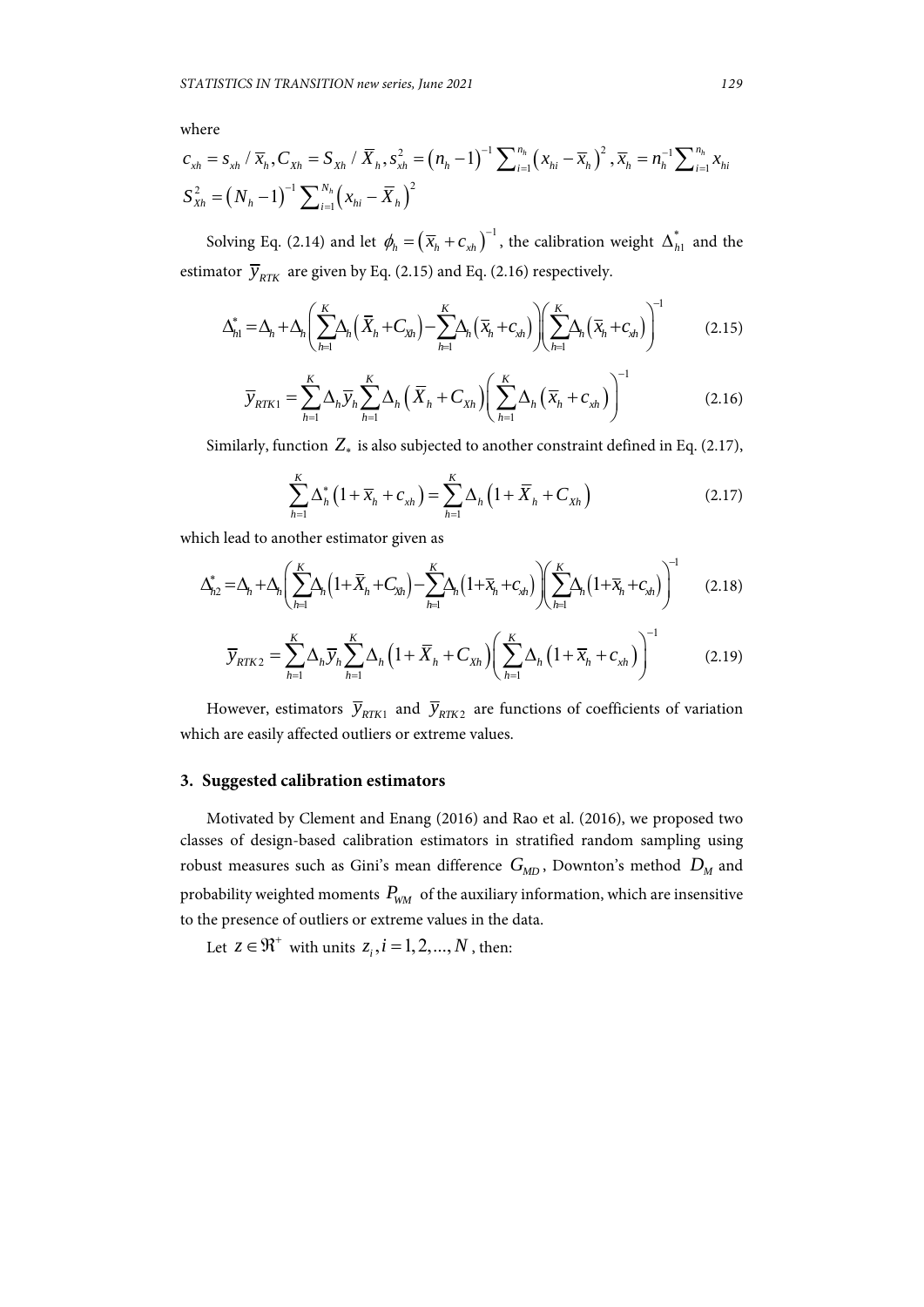where

$$
c_{xh} = s_{xh} / \overline{x}_h, C_{Xh} = S_{Xh} / \overline{X}_h, s_{xh}^2 = (n_h - 1)^{-1} \sum_{i=1}^{n_h} (x_{hi} - \overline{x}_h)^2, \overline{x}_h = n_h^{-1} \sum_{i=1}^{n_h} x_{hi}
$$
  

$$
S_{Xh}^2 = (N_h - 1)^{-1} \sum_{i=1}^{N_h} (x_{hi} - \overline{X}_h)^2
$$

Solving Eq. (2.14) and let  $\phi_h = (\overline{x}_h + c_{xh})^{-1}$ , the calibration weight  $\Delta_{h1}^*$  and the estimator  $\bar{y}_{RTK}$  are given by Eq. (2.15) and Eq. (2.16) respectively.

$$
\Delta_{h1}^* = \Delta_h + \Delta_h \left( \sum_{h=1}^K \Delta_h \left( \overline{X}_h + C_{\overline{X}_h} \right) - \sum_{h=1}^K \Delta_h \left( \overline{X}_h + C_{\overline{X}_h} \right) \right) \left( \sum_{h=1}^K \Delta_h \left( \overline{X}_h + C_{\overline{X}_h} \right) \right)^{-1} \tag{2.15}
$$

$$
\overline{y}_{RTK1} = \sum_{h=1}^{K} \Delta_h \overline{y}_h \sum_{h=1}^{K} \Delta_h \left( \overline{X}_h + C_{Xh} \right) \left( \sum_{h=1}^{K} \Delta_h \left( \overline{x}_h + c_{xh} \right) \right)^{-1}
$$
(2.16)

Similarly, function  $Z_*$  is also subjected to another constraint defined in Eq. (2.17),

$$
\sum_{h=1}^{K} \Delta_h^* \left( 1 + \overline{x}_h + c_{xh} \right) = \sum_{h=1}^{K} \Delta_h \left( 1 + \overline{X}_h + C_{xh} \right)
$$
\n(2.17)

which lead to another estimator given as

$$
\Delta_{h2}^* = \Delta_h + \Delta_h \left( \sum_{h=1}^K \Delta_h \left( 1 + \overline{X}_h + C_{Xh} \right) - \sum_{h=1}^K \Delta_h \left( 1 + \overline{X}_h + C_{\nu h} \right) \right) \left( \sum_{h=1}^K \Delta_h \left( 1 + \overline{X}_h + C_{\nu h} \right) \right)^{-1} \tag{2.18}
$$

$$
\overline{y}_{RTK2} = \sum_{h=1}^{K} \Delta_h \overline{y}_h \sum_{h=1}^{K} \Delta_h \left( 1 + \overline{X}_h + C_{Xh} \right) \left( \sum_{h=1}^{K} \Delta_h \left( 1 + \overline{x}_h + C_{xh} \right) \right)^{-1} \tag{2.19}
$$

However, estimators  $\bar{y}_{RTK1}$  and  $\bar{y}_{RTK2}$  are functions of coefficients of variation which are easily affected outliers or extreme values.

#### **3. Suggested calibration estimators**

Motivated by Clement and Enang (2016) and Rao et al. (2016), we proposed two classes of design-based calibration estimators in stratified random sampling using robust measures such as Gini's mean difference  $G_{MD}$ , Downton's method  $D_M$  and probability weighted moments  $P_{WM}$  of the auxiliary information, which are insensitive to the presence of outliers or extreme values in the data.

Let  $z \in \mathbb{R}^+$  with units  $z_i$ ,  $i = 1, 2, ..., N$ , then: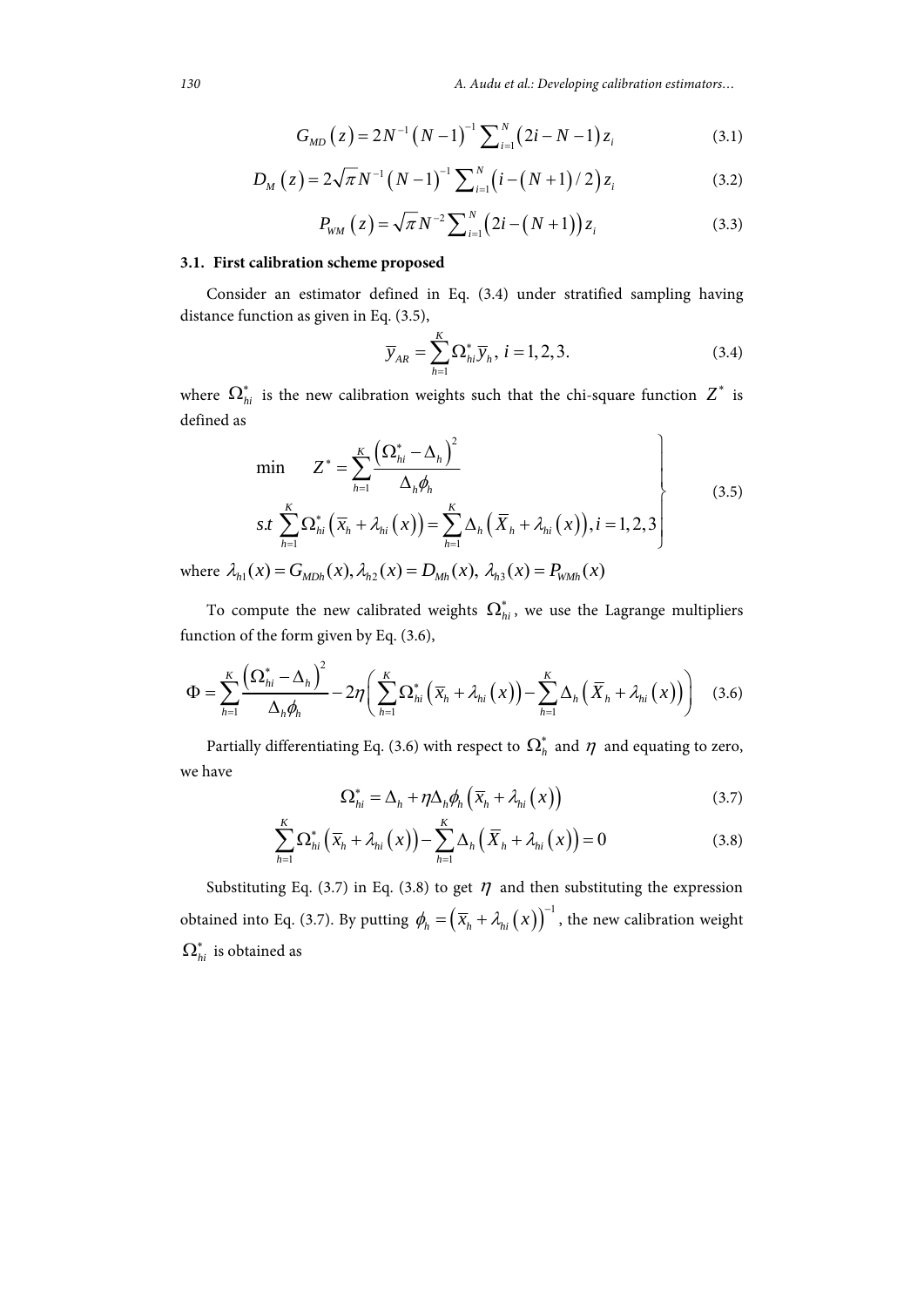*130 A. Audu et al.: Developing calibration estimators…*

$$
G_{MD}(z) = 2N^{-1}(N-1)^{-1} \sum_{i=1}^{N} (2i - N - 1) z_i
$$
 (3.1)

$$
D_M(z) = 2\sqrt{\pi}N^{-1}(N-1)^{-1}\sum_{i=1}^{N} (i - (N+1)/2)z_i
$$
 (3.2)

$$
P_{WM}\left(z\right) = \sqrt{\pi} N^{-2} \sum_{i=1}^{N} \left(2i - \left(N + 1\right)\right) z_i \tag{3.3}
$$

## **3.1. First calibration scheme proposed**

Consider an estimator defined in Eq. (3.4) under stratified sampling having distance function as given in Eq. (3.5),

$$
\overline{y}_{AR} = \sum_{h=1}^{K} \Omega_{hi}^* \overline{y}_h, i = 1, 2, 3.
$$
 (3.4)

where  $\Omega_{hi}^*$  is the new calibration weights such that the chi-square function  $Z^*$  is defined as

$$
\min \qquad Z^* = \sum_{h=1}^K \frac{\left(\Omega_{hi}^* - \Delta_h\right)^2}{\Delta_h \phi_h}
$$
\n
$$
s.t \sum_{h=1}^K \Omega_{hi}^* \left(\overline{x}_h + \lambda_{hi}(x)\right) = \sum_{h=1}^K \Delta_h \left(\overline{X}_h + \lambda_{hi}(x)\right), i = 1, 2, 3
$$
\n
$$
(x) = G_{\text{triv}}(x), \lambda_{i,2}(x) = D_{\text{triv}}(x), \lambda_{i,3}(x) = P_{\text{triv}}(x) \tag{3.5}
$$

where  $\lambda_{h1}(x) = G_{MDh}(x), \lambda_{h2}(x) = D_{Mh}(x), \lambda_{h3}(x) = P_{WMh}(x)$ 

To compute the new calibrated weights  $\Omega_{hi}^*$ , we use the Lagrange multipliers function of the form given by Eq. (3.6),

$$
\Phi = \sum_{h=1}^{K} \frac{\left(\Omega_{hi}^* - \Delta_h\right)^2}{\Delta_h \phi_h} - 2\eta \left(\sum_{h=1}^{K} \Omega_{hi}^* \left(\overline{x}_h + \lambda_{hi}(x)\right) - \sum_{h=1}^{K} \Delta_h \left(\overline{X}_h + \lambda_{hi}(x)\right)\right) \quad (3.6)
$$

Partially differentiating Eq. (3.6) with respect to  $\Omega_h^*$  and  $\eta$  and equating to zero, we have

$$
\Omega_{hi}^* = \Delta_h + \eta \Delta_h \phi_h \left( \overline{x}_h + \lambda_{hi} (x) \right) \tag{3.7}
$$

$$
\sum_{h=1}^{K} \Omega_{hi}^* \left( \overline{x}_h + \lambda_{hi} (x) \right) - \sum_{h=1}^{K} \Delta_h \left( \overline{X}_h + \lambda_{hi} (x) \right) = 0 \tag{3.8}
$$

Substituting Eq. (3.7) in Eq. (3.8) to get  $\eta$  and then substituting the expression obtained into Eq. (3.7). By putting  $\phi_h = \left(\overline{x}_h + \lambda_{hi}(x)\right)^{-1}$ , the new calibration weight  $\boldsymbol{\Omega}^*_{hi}$  is obtained as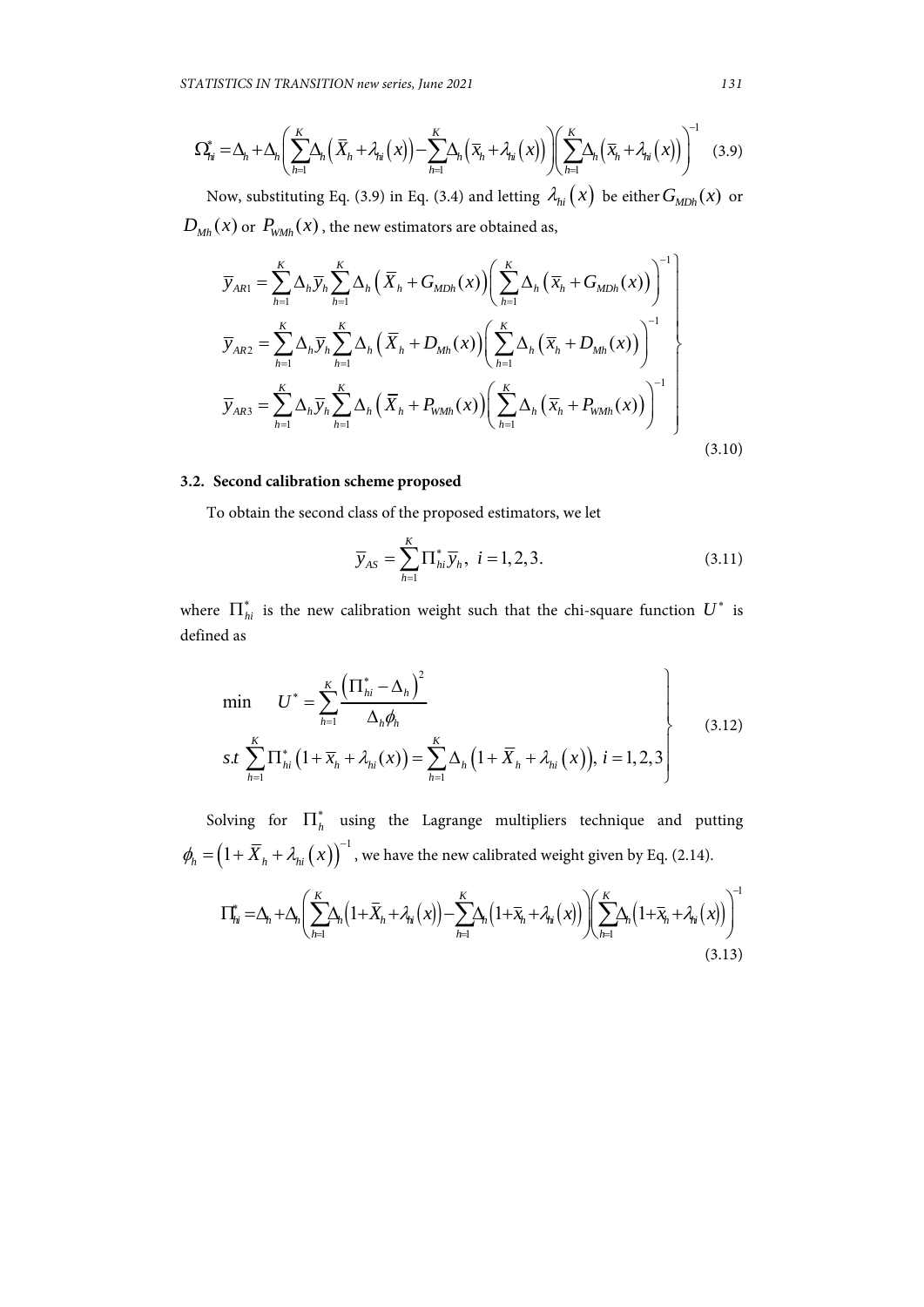$$
\Omega_{j_{il}}^* = \Delta_h + \Delta_h \left( \sum_{h=1}^K \Delta_h \left( \overline{X}_h + \lambda_{hi}(x) \right) - \sum_{h=1}^K \Delta_h \left( \overline{X}_h + \lambda_{hi}(x) \right) \right) \left( \sum_{h=1}^K \Delta_h \left( \overline{X}_h + \lambda_{hi}(x) \right) \right)^{-1} \tag{3.9}
$$

Now, substituting Eq. (3.9) in Eq. (3.4) and letting  $\lambda_{hi}(x)$  be either  $G_{Mdh}(x)$  or  $D_{Mh}(x)$  or  $P_{WMh}(x)$ , the new estimators are obtained as,

$$
\overline{y}_{ARI} = \sum_{h=1}^{K} \Delta_h \overline{y}_h \sum_{h=1}^{K} \Delta_h \left( \overline{X}_h + G_{MDh}(x) \right) \left( \sum_{h=1}^{K} \Delta_h \left( \overline{X}_h + G_{MDh}(x) \right) \right)^{-1} \right)
$$
\n
$$
\overline{y}_{AR2} = \sum_{h=1}^{K} \Delta_h \overline{y}_h \sum_{h=1}^{K} \Delta_h \left( \overline{X}_h + D_{Mh}(x) \right) \left( \sum_{h=1}^{K} \Delta_h \left( \overline{X}_h + D_{Mh}(x) \right) \right)^{-1} \right)
$$
\n
$$
\overline{y}_{AR3} = \sum_{h=1}^{K} \Delta_h \overline{y}_h \sum_{h=1}^{K} \Delta_h \left( \overline{X}_h + P_{WMh}(x) \right) \left( \sum_{h=1}^{K} \Delta_h \left( \overline{X}_h + P_{WMh}(x) \right) \right)^{-1} \right)
$$
\n(3.10)

## **3.2. Second calibration scheme proposed**

To obtain the second class of the proposed estimators, we let

$$
\overline{y}_{AS} = \sum_{h=1}^{K} \Pi_{hi}^* \overline{y}_h, \ i = 1, 2, 3. \tag{3.11}
$$

where  $\prod_{hi}^*$  is the new calibration weight such that the chi-square function  $U^*$  is defined as

$$
\min \qquad U^* = \sum_{h=1}^K \frac{\left(\Pi_{hi}^* - \Delta_h\right)^2}{\Delta_h \phi_h}
$$
\n
$$
s.t \sum_{h=1}^K \Pi_{hi}^* \left(1 + \overline{x}_h + \lambda_{hi}(x)\right) = \sum_{h=1}^K \Delta_h \left(1 + \overline{X}_h + \lambda_{hi}(x)\right), \ i = 1, 2, 3 \qquad (3.12)
$$

Solving for  $\prod_{h}^{*}$  using the Lagrange multipliers technique and putting  $\phi_h = (1 + \overline{X}_h + \lambda_{hi}(x))$ <sup>-1</sup>, we have the new calibrated weight given by Eq. (2.14).

$$
\Pi_{hi}^* = \Delta_h + \Delta_h \left( \sum_{h=1}^K \Delta_h \left( 1 + \overline{X}_h + \lambda_{hi}(x) \right) - \sum_{h=1}^K \Delta_h \left( 1 + \overline{X}_h + \lambda_{hi}(x) \right) \right) \left( \sum_{h=1}^K \Delta_h \left( 1 + \overline{X}_h + \lambda_{hi}(x) \right) \right)^{-1} \tag{3.13}
$$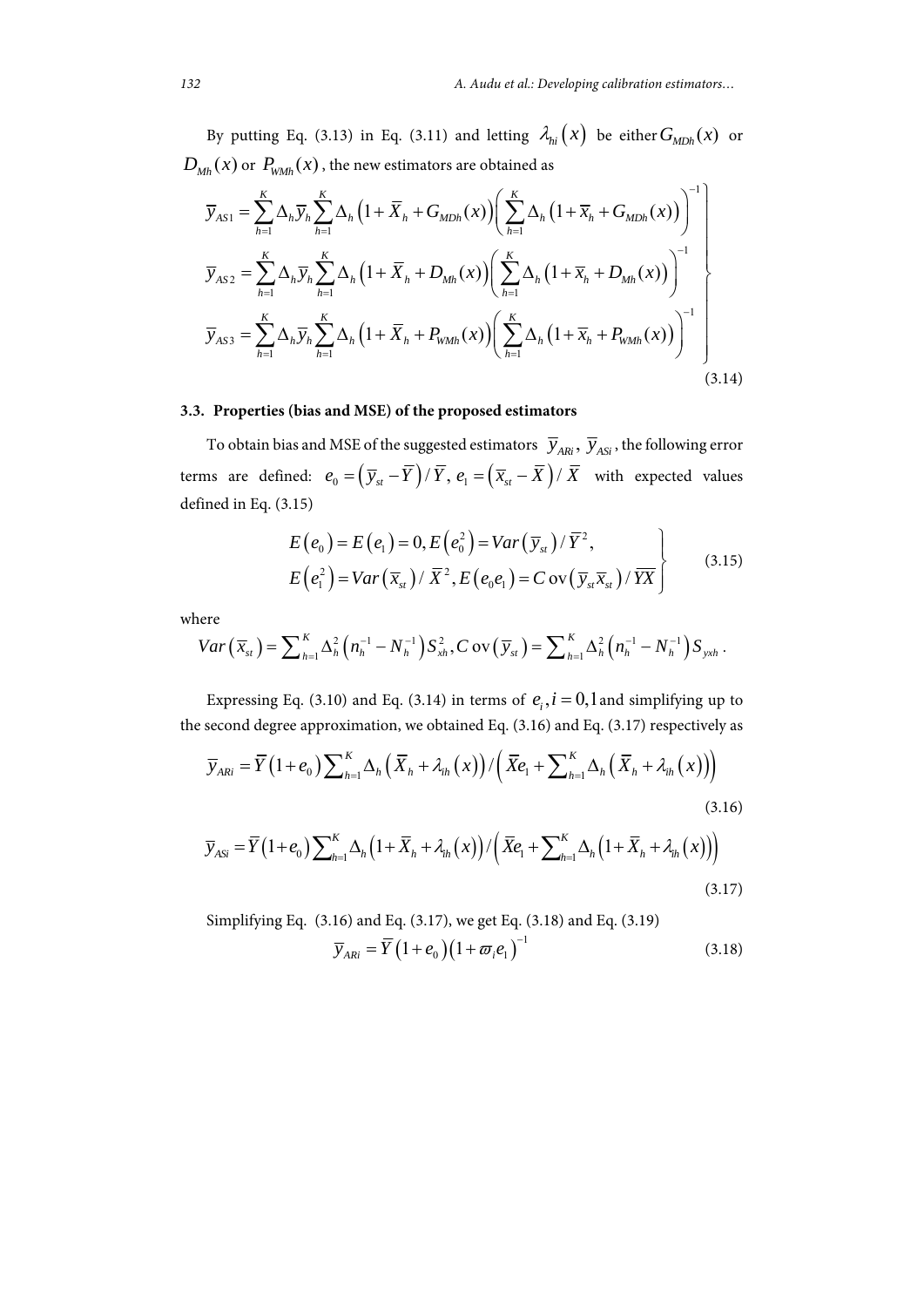By putting Eq. (3.13) in Eq. (3.11) and letting  $\lambda_{hi}(x)$  be either  $G_{MDh}(x)$  or  $D_{Mh}(x)$  or  $P_{WMh}(x)$ , the new estimators are obtained as

$$
\overline{y}_{AS1} = \sum_{h=1}^{K} \Delta_h \overline{y}_h \sum_{h=1}^{K} \Delta_h (1 + \overline{X}_h + G_{MDh}(x)) \left( \sum_{h=1}^{K} \Delta_h (1 + \overline{x}_h + G_{MDh}(x)) \right)^{-1} \right)
$$
\n
$$
\overline{y}_{AS2} = \sum_{h=1}^{K} \Delta_h \overline{y}_h \sum_{h=1}^{K} \Delta_h (1 + \overline{X}_h + D_{Mh}(x)) \left( \sum_{h=1}^{K} \Delta_h (1 + \overline{x}_h + D_{Mh}(x)) \right)^{-1} \right)
$$
\n
$$
\overline{y}_{AS3} = \sum_{h=1}^{K} \Delta_h \overline{y}_h \sum_{h=1}^{K} \Delta_h (1 + \overline{X}_h + P_{WMh}(x)) \left( \sum_{h=1}^{K} \Delta_h (1 + \overline{x}_h + P_{WMh}(x)) \right)^{-1} \right)
$$
\n(3.14)

## **3.3. Properties (bias and MSE) of the proposed estimators**

To obtain bias and MSE of the suggested estimators  $\overline{y}_{ARi}$ ,  $\overline{y}_{ASi}$ , the following error terms are defined:  $e_0 = (\overline{y}_{st} - \overline{Y}) / \overline{Y}$ ,  $e_1 = (\overline{x}_{st} - \overline{X}) / \overline{X}$  with expected values defined in Eq. (3.15)

$$
E(e_0) = E(e_1) = 0, E(e_0^2) = Var(\overline{y}_{st})/\overline{Y}^2,
$$
  
\n
$$
E(e_1^2) = Var(\overline{x}_{st})/\overline{X}^2, E(e_0e_1) = Cov(\overline{y}_{st}\overline{x}_{st})/\overline{Y}^2
$$
\n(3.15)

where

$$
Var\left(\overline{x}_{st}\right) = \sum\nolimits_{h=1}^{K} \Delta_h^2\left(n_h^{-1} - N_h^{-1}\right) S_{xh}^2, C \operatorname{ov}\left(\overline{y}_{st}\right) = \sum\nolimits_{h=1}^{K} \Delta_h^2\left(n_h^{-1} - N_h^{-1}\right) S_{yxh}.
$$

Expressing Eq. (3.10) and Eq. (3.14) in terms of  $e_i$ ,  $i = 0,1$  and simplifying up to the second degree approximation, we obtained Eq. (3.16) and Eq. (3.17) respectively as

$$
\overline{y}_{ARi} = \overline{Y} (1 + e_0) \sum_{h=1}^{K} \Delta_h \left( \overline{X}_h + \lambda_{ih}(x) \right) / \left( \overline{X} e_1 + \sum_{h=1}^{K} \Delta_h \left( \overline{X}_h + \lambda_{ih}(x) \right) \right)
$$
\n(3.16)

$$
\overline{y}_{Asi} = \overline{Y}(1+e_0) \sum_{h=1}^{K} \Delta_h \left(1 + \overline{X}_h + \lambda_{ih}(x)\right) / \left(\overline{X}e_1 + \sum_{h=1}^{K} \Delta_h \left(1 + \overline{X}_h + \lambda_{ih}(x)\right)\right)
$$
\n(3.17)

Simplifying Eq. (3.16) and Eq. (3.17), we get Eq. (3.18) and Eq. (3.19)  $\overline{y}_{A Ri} = \overline{Y} (1 + e_0) (1 + \overline{\omega}_i e_1)^{-1}$  (3.18)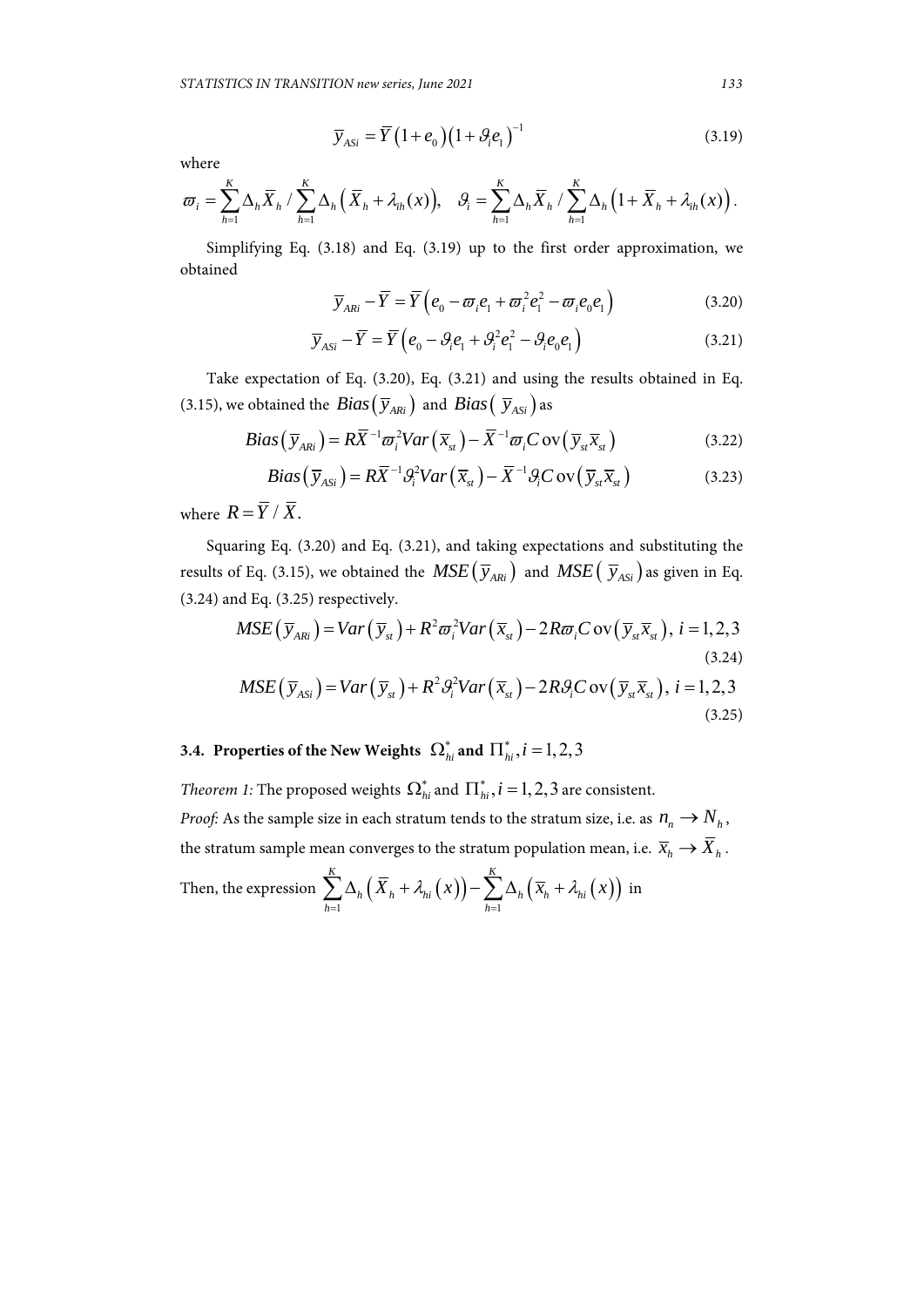$$
\overline{y}_{Asi} = \overline{Y} \left( 1 + e_0 \right) \left( 1 + \mathcal{G}_i e_1 \right)^{-1} \tag{3.19}
$$

where

$$
\varpi_i = \sum_{h=1}^K \Delta_h \overline{X}_h / \sum_{h=1}^K \Delta_h \left( \overline{X}_h + \lambda_{ih}(x) \right), \quad \mathcal{G}_i = \sum_{h=1}^K \Delta_h \overline{X}_h / \sum_{h=1}^K \Delta_h \left( 1 + \overline{X}_h + \lambda_{ih}(x) \right).
$$

Simplifying Eq. (3.18) and Eq. (3.19) up to the first order approximation, we obtained

$$
\overline{y}_{ARi} - \overline{Y} = \overline{Y} \left( e_0 - \overline{\omega}_i e_1 + \overline{\omega}_i^2 e_1^2 - \overline{\omega}_i e_0 e_1 \right)
$$
(3.20)

$$
\overline{y}_{Asi} - \overline{Y} = \overline{Y} \left( e_0 - \mathcal{G}_i e_1 + \mathcal{G}_i^2 e_1^2 - \mathcal{G}_i e_0 e_1 \right)
$$
 (3.21)

Take expectation of Eq. (3.20), Eq. (3.21) and using the results obtained in Eq. (3.15), we obtained the *Bias*  $(\overline{y}_{ARI})$  and *Bias*  $(\overline{y}_{ASI})$  as

$$
Bias(\overline{y}_{ARI}) = R\overline{X}^{-1}\overline{\omega}_i^2 Var(\overline{x}_{st}) - \overline{X}^{-1}\overline{\omega}_i Cov(\overline{y}_{st}\overline{x}_{st})
$$
(3.22)

$$
Bias(\overline{y}_{ASi}) = R\overline{X}^{-1}\mathcal{G}_{i}^{2}Var(\overline{x}_{st}) - \overline{X}^{-1}\mathcal{G}_{i}Cov(\overline{y}_{st}\overline{x}_{st})
$$
(3.23)

where  $R = \overline{Y}/\overline{X}$ .

Squaring Eq. (3.20) and Eq. (3.21), and taking expectations and substituting the results of Eq. (3.15), we obtained the  $MSE(\bar{y}_{ARI})$  and  $MSE(\bar{y}_{ASI})$  as given in Eq. (3.24) and Eq. (3.25) respectively.

$$
MSE\left(\overline{y}_{ARi}\right) = Var\left(\overline{y}_{st}\right) + R^2 \overline{\omega}_i^2 Var\left(\overline{x}_{st}\right) - 2R \overline{\omega}_i C \text{ ov}\left(\overline{y}_{st}\overline{x}_{st}\right), i = 1, 2, 3
$$
\n(3.24)\n
$$
MSE\left(\overline{y}_{ASi}\right) = Var\left(\overline{y}_{st}\right) + R^2 \mathcal{G}_i^2 Var\left(\overline{x}_{st}\right) - 2R \mathcal{G}_i C \text{ ov}\left(\overline{y}_{st}\overline{x}_{st}\right), i = 1, 2, 3
$$

$$
(3.25)
$$

# **3.4.** Properties of the New Weights  $\Omega_{hi}^*$  and  $\overline{\Pi}_{hi}^*, i = 1,2,3$

*Theorem 1:* The proposed weights  $\Omega_{hi}^*$  and  $\prod_{ii}^*$ ,  $i = 1, 2, 3$  are consistent. *Proof:* As the sample size in each stratum tends to the stratum size, i.e. as  $n_n \rightarrow N_h$ , the stratum sample mean converges to the stratum population mean, i.e.  $\overline{x}_h \to \overline{X}_h$ .

Then, the expression  $\sum \Delta_h \big(X_h+\lambda_{hi}(x)\big)$   $- \sum \Delta_h \big(\, \overline{x}_h + \lambda_{hi}( \, x)\big)$  $1 h = 1$ *K K*  $h \left( \Delta_h + \Delta_h \left( \Delta_f \right) \right) \quad \angle \Delta_h \left( \Delta_h + \Delta_h \right)$ *h h*  $X_{h} + \lambda_{hi}(x)$ ) –  $\sum \Delta_h(\overline{x}_h + \lambda_{hi}(x))$  $\sum_{h=1} \Delta_h \left( \overline{X}_h + \lambda_{hi} (x) \right) - \sum_{h=1} \Delta_h \left( \overline{X}_h + \lambda_{hi} (x) \right)$  in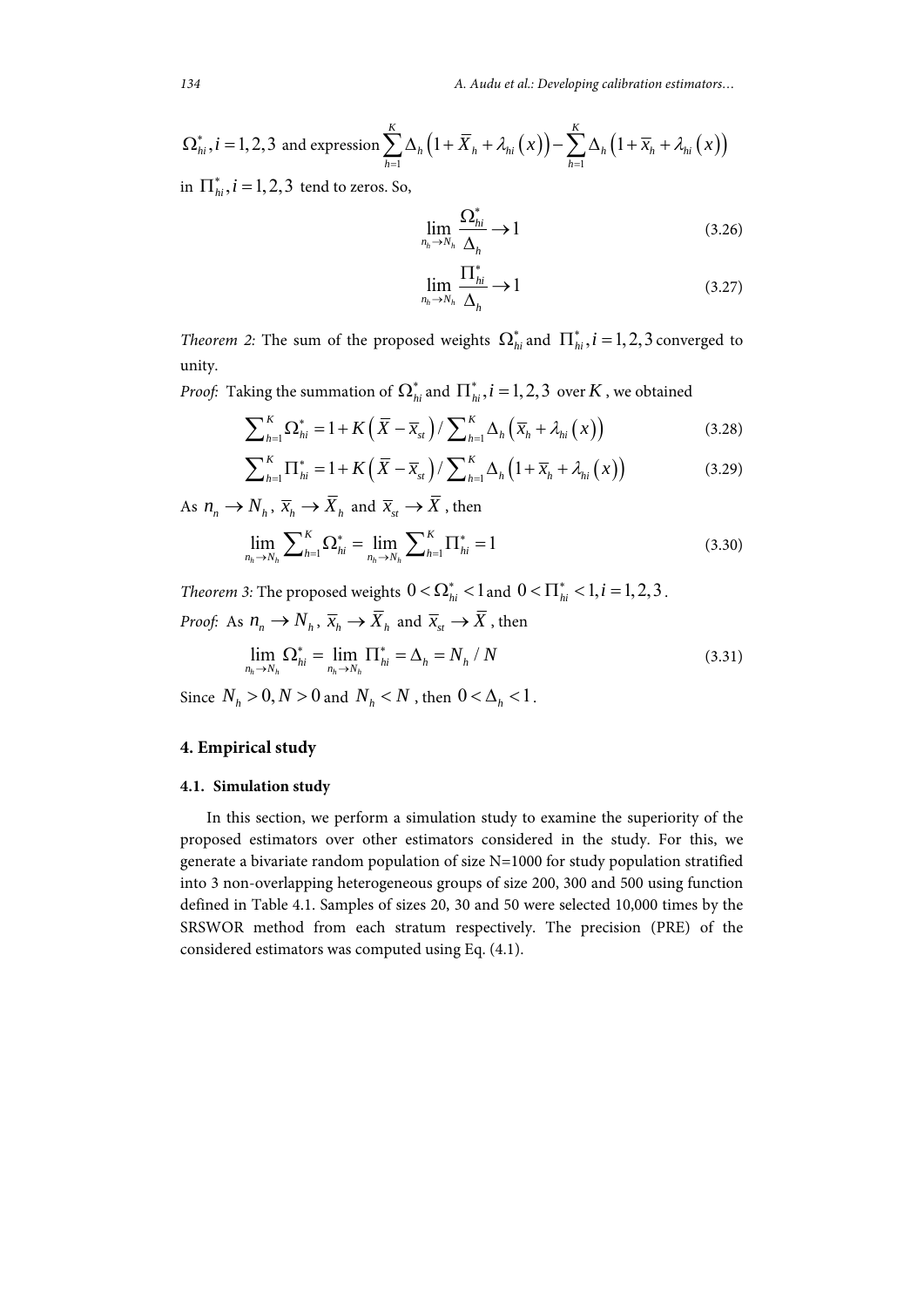*134 A. Audu et al.: Developing calibration estimators…*

$$
\Omega_{hi}^*, i = 1, 2, 3 \text{ and expression } \sum_{h=1}^K \Delta_h \left( 1 + \overline{X}_h + \lambda_{hi}(x) \right) - \sum_{h=1}^K \Delta_h \left( 1 + \overline{x}_h + \lambda_{hi}(x) \right)
$$

in  $\prod_{i}^{*}$ ,  $i = 1,2,3$  tend to zeros. So,

$$
\lim_{n_h \to N_h} \frac{\Omega_{hi}^*}{\Delta_h} \to 1 \tag{3.26}
$$

$$
\lim_{n_h \to N_h} \frac{\prod_{hi}^*}{\Delta_h} \to 1 \tag{3.27}
$$

*Theorem 2:* The sum of the proposed weights  $\Omega_{hi}^*$  and  $\Pi_{hi}^*$ ,  $i = 1, 2, 3$  converged to unity.

*Proof:* Taking the summation of  $\Omega_{hi}^*$  and  $\prod_{hi}^*$ ,  $i = 1,2,3$  over  $K$  , we obtained

$$
\sum_{h=1}^{K} \Omega_{hi}^* = 1 + K\left(\overline{X} - \overline{x}_{st}\right) / \sum_{h=1}^{K} \Delta_h \left(\overline{x}_h + \lambda_{hi}\left(x\right)\right) \tag{3.28}
$$

$$
\sum_{h=1}^{K} \Pi_{hi}^* = 1 + K\left(\overline{X} - \overline{x}_{st}\right) / \sum_{h=1}^{K} \Delta_h \left(1 + \overline{x}_h + \lambda_{hi}\left(x\right)\right) \tag{3.29}
$$

As  $n_n \to N_h$ ,  $\overline{x}_h \to \overline{X}_h$  and  $\overline{x}_s \to \overline{X}$ , then

$$
\lim_{n_h \to N_h} \sum_{h=1}^K \Omega_{hi}^* = \lim_{n_h \to N_h} \sum_{h=1}^K \Pi_{hi}^* = 1
$$
\n(3.30)

*Theorem 3:* The proposed weights  $0 < \Omega_{hi}^* < 1$  and  $0 < \Pi_{hi}^* < 1, i = 1, 2, 3$ .

*Proof:* As  $n_n \to N_h$ ,  $\overline{x}_h \to \overline{X}_h$  and  $\overline{x}_s \to \overline{X}$ , then

$$
\lim_{n_h \to N_h} \Omega_{hi}^* = \lim_{n_h \to N_h} \Pi_{hi}^* = \Delta_h = N_h / N
$$
\n(3.31)

Since  $N_h > 0, N > 0$  and  $N_h < N$ , then  $0 < \Delta_h < 1$ .

#### **4. Empirical study**

#### **4.1. Simulation study**

In this section, we perform a simulation study to examine the superiority of the proposed estimators over other estimators considered in the study. For this, we generate a bivariate random population of size N=1000 for study population stratified into 3 non-overlapping heterogeneous groups of size 200, 300 and 500 using function defined in Table 4.1. Samples of sizes 20, 30 and 50 were selected 10,000 times by the SRSWOR method from each stratum respectively. The precision (PRE) of the considered estimators was computed using Eq. (4.1).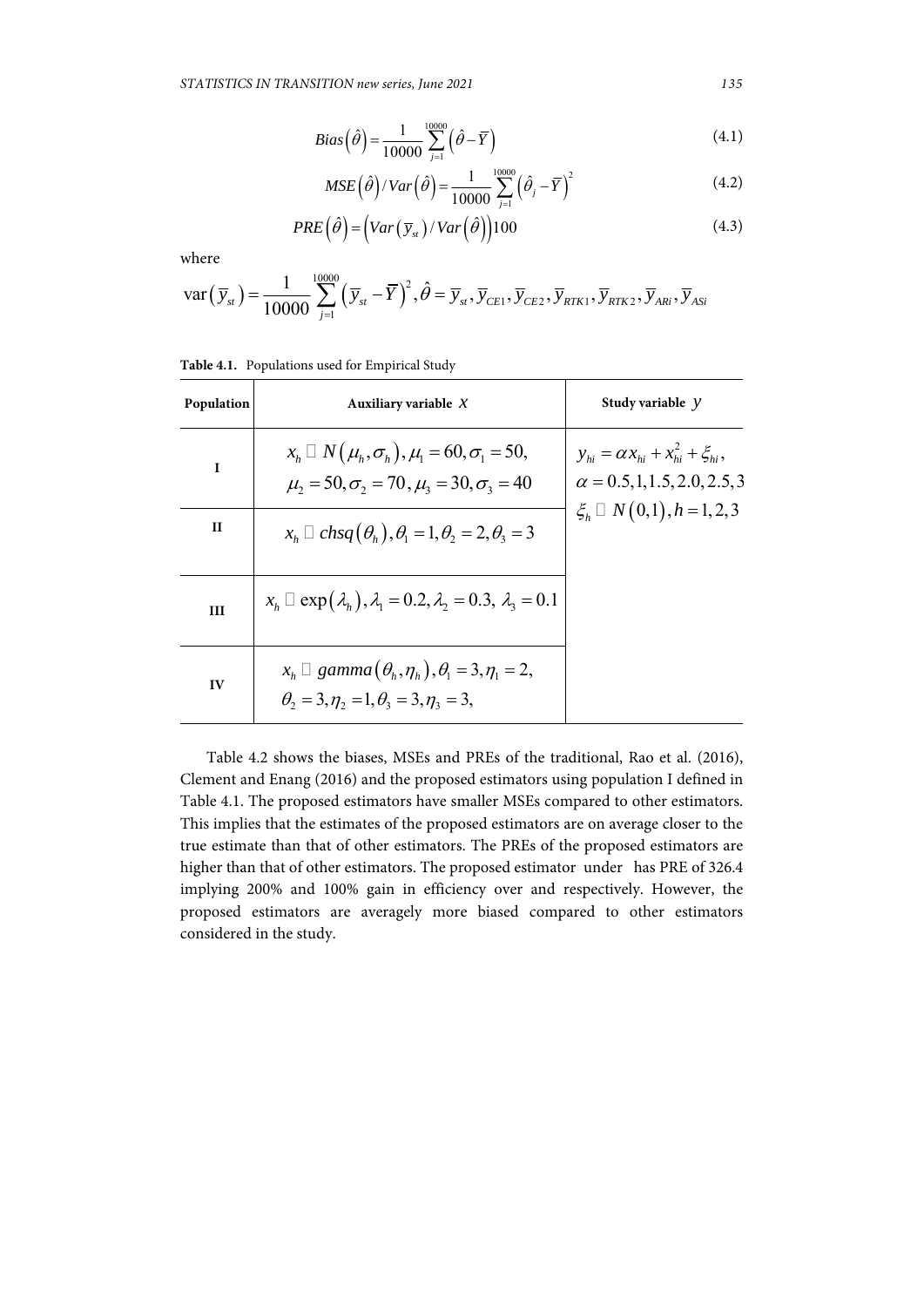$$
Bias(\hat{\theta}) = \frac{1}{10000} \sum_{j=1}^{10000} (\hat{\theta} - \overline{Y})
$$
\n(4.1)

$$
MSE\left(\hat{\theta}\right)/Var\left(\hat{\theta}\right) = \frac{1}{10000} \sum_{j=1}^{10000} \left(\hat{\theta}_j - \overline{Y}\right)^2 \tag{4.2}
$$

$$
PRE(\hat{\theta}) = (Var(\bar{y}_{st})/Var(\hat{\theta}))100
$$
\n(4.3)

where

$$
\text{var}\left(\overline{y}_{st}\right) = \frac{1}{10000} \sum_{j=1}^{10000} \left(\overline{y}_{st} - \overline{Y}\right)^2, \hat{\theta} = \overline{y}_{st}, \overline{y}_{CE1}, \overline{y}_{CE2}, \overline{y}_{RTK1}, \overline{y}_{RTK2}, \overline{y}_{ARi}, \overline{y}_{ASi}
$$

| Population   | Auxiliary variable $X$                                                                                                       | Study variable $y$                                                                    |
|--------------|------------------------------------------------------------------------------------------------------------------------------|---------------------------------------------------------------------------------------|
| $\mathbf{I}$ | $x_h \Box N(\mu_h, \sigma_h), \mu_l = 60, \sigma_l = 50,$<br>$\mu_2 = 50, \sigma_2 = 70, \mu_3 = 30, \sigma_3 = 40$          | $y_{hi} = \alpha x_{hi} + x_{hi}^2 + \xi_{hi}$<br>$\alpha = 0.5, 1, 1.5, 2.0, 2.5, 3$ |
| Н            | $x_h \square$ chsq $(\theta_h)$ , $\theta_1 = 1$ , $\theta_2 = 2$ , $\theta_3 = 3$                                           | $\xi_h \square N(0,1), h = 1,2,3$                                                     |
| III          | $x_h \Box \exp(\lambda_h), \lambda_1 = 0.2, \lambda_2 = 0.3, \lambda_3 = 0.1$                                                |                                                                                       |
| IV           | $x_h \square$ gamma $(\theta_h, \eta_h), \theta_1 = 3, \eta_1 = 2,$<br>$\theta_2 = 3, \eta_2 = 1, \theta_3 = 3, \eta_3 = 3,$ |                                                                                       |

Table 4.2 shows the biases, MSEs and PREs of the traditional, Rao et al. (2016), Clement and Enang (2016) and the proposed estimators using population I defined in Table 4.1. The proposed estimators have smaller MSEs compared to other estimators. This implies that the estimates of the proposed estimators are on average closer to the true estimate than that of other estimators. The PREs of the proposed estimators are higher than that of other estimators. The proposed estimator under has PRE of 326.4 implying 200% and 100% gain in efficiency over and respectively. However, the proposed estimators are averagely more biased compared to other estimators considered in the study.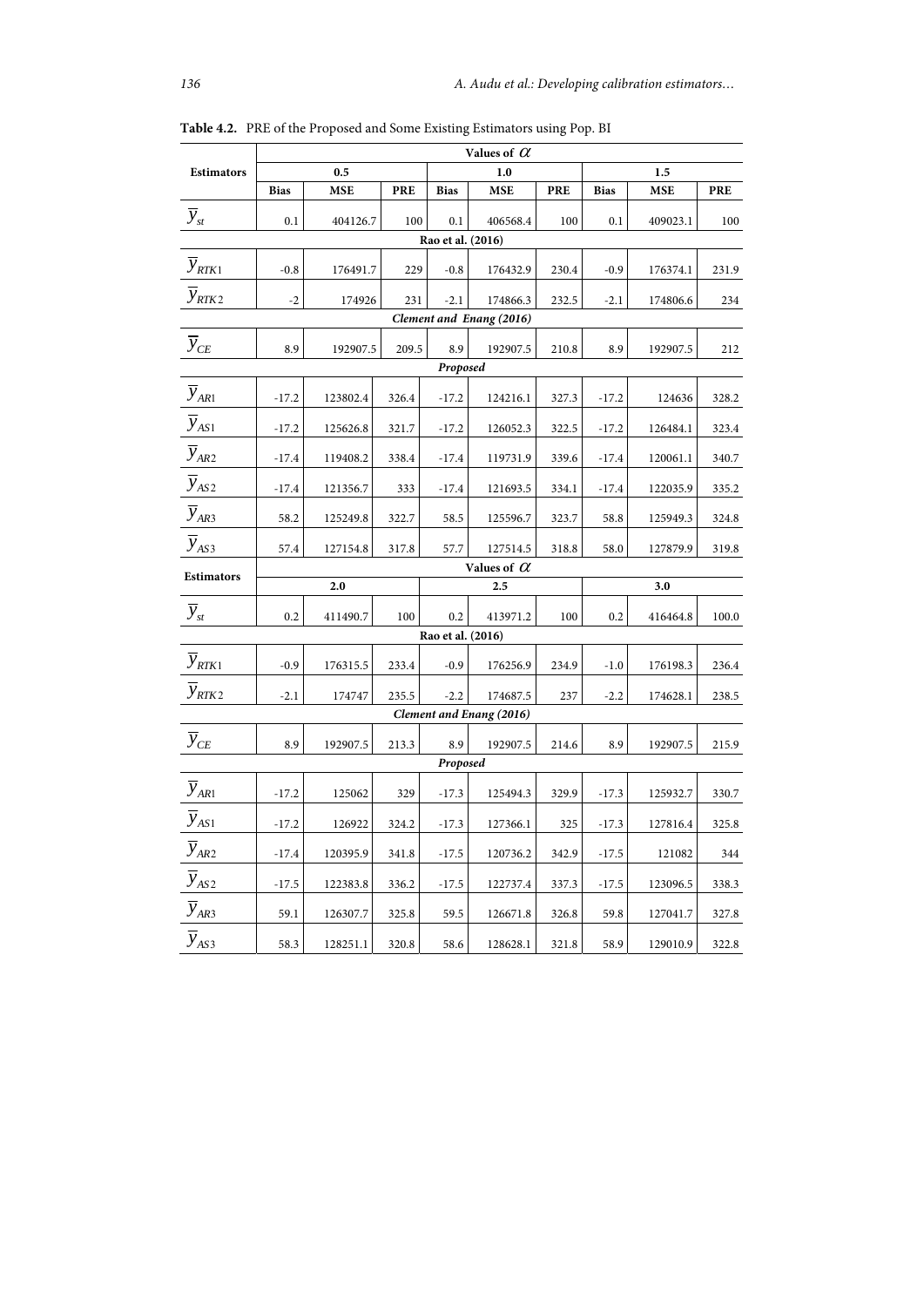|                          | Values of $\alpha$ |          |            |                   |                          |            |             |            |            |  |  |
|--------------------------|--------------------|----------|------------|-------------------|--------------------------|------------|-------------|------------|------------|--|--|
| <b>Estimators</b>        | 0.5                |          |            | 1.0               |                          |            |             | 1.5        |            |  |  |
|                          | <b>Bias</b>        | MSE      | <b>PRE</b> | <b>Bias</b>       | MSE                      | <b>PRE</b> | <b>Bias</b> | <b>MSE</b> | <b>PRE</b> |  |  |
| $\overline{y}_{st}$      | 0.1                | 404126.7 | 100        | 0.1               | 406568.4                 | 100        | 0.1         | 409023.1   | 100        |  |  |
| Rao et al. (2016)        |                    |          |            |                   |                          |            |             |            |            |  |  |
| $\overline{y}_{RTK1}$    | $-0.8$             | 176491.7 | 229        | $-0.8$            | 176432.9                 | 230.4      | $-0.9$      | 176374.1   | 231.9      |  |  |
| $\overline{y}_{RTK2}$    | $-2$               | 174926   | 231        | $-2.1$            | 174866.3                 | 232.5      | $-2.1$      | 174806.6   | 234        |  |  |
| Clement and Enang (2016) |                    |          |            |                   |                          |            |             |            |            |  |  |
| $\overline{y}_{CE}$      | 8.9                | 192907.5 | 209.5      | 8.9               | 192907.5                 | 210.8      | 8.9         | 192907.5   | 212        |  |  |
|                          | Proposed           |          |            |                   |                          |            |             |            |            |  |  |
| $\overline{y}_{AR1}$     | $-17.2$            | 123802.4 | 326.4      | $-17.2$           | 124216.1                 | 327.3      | $-17.2$     | 124636     | 328.2      |  |  |
| $\overline{y}_{AS1}$     | $-17.2$            | 125626.8 | 321.7      | $-17.2$           | 126052.3                 | 322.5      | $-17.2$     | 126484.1   | 323.4      |  |  |
| $\overline{y}_{AR2}$     | $-17.4$            | 119408.2 | 338.4      | $-17.4$           | 119731.9                 | 339.6      | $-17.4$     | 120061.1   | 340.7      |  |  |
| $\overline{y}_{AS2}$     | $-17.4$            | 121356.7 | 333        | $-17.4$           | 121693.5                 | 334.1      | $-17.4$     | 122035.9   | 335.2      |  |  |
| $\overline{y}_{AR3}$     | 58.2               | 125249.8 | 322.7      | 58.5              | 125596.7                 | 323.7      | 58.8        | 125949.3   | 324.8      |  |  |
| $\overline{y}_{AS3}$     | 57.4               | 127154.8 | 317.8      | 57.7              | 127514.5                 | 318.8      | 58.0        | 127879.9   | 319.8      |  |  |
| <b>Estimators</b>        |                    |          |            |                   | Values of $\alpha$       |            |             |            |            |  |  |
|                          |                    | 2.0      |            |                   | 2.5                      |            |             | 3.0        |            |  |  |
| $\overline{y}_{st}$      | 0.2                | 411490.7 | 100        | 0.2               | 413971.2                 | 100        | 0.2         | 416464.8   | 100.0      |  |  |
|                          |                    |          |            | Rao et al. (2016) |                          |            |             |            |            |  |  |
| $\overline{y}_{RTK1}$    | $-0.9$             | 176315.5 | 233.4      | $-0.9$            | 176256.9                 | 234.9      | $-1.0$      | 176198.3   | 236.4      |  |  |
| $\overline{y}_{RTK2}$    | $-2.1$             | 174747   | 235.5      | $-2.2$            | 174687.5                 | 237        | $-2.2$      | 174628.1   | 238.5      |  |  |
|                          |                    |          |            |                   | Clement and Enang (2016) |            |             |            |            |  |  |
| $\overline{y}_{CE}$      | 8.9                | 192907.5 | 213.3      | 8.9               | 192907.5                 | 214.6      | 8.9         | 192907.5   | 215.9      |  |  |
| Proposed                 |                    |          |            |                   |                          |            |             |            |            |  |  |
| $\overline{y}_{AR1}$     | $-17.2$            | 125062   | 329        | $-17.3$           | 125494.3                 | 329.9      | $-17.3$     | 125932.7   | 330.7      |  |  |
| $\overline{y}_{AS1}$     | $-17.2$            | 126922   | 324.2      | $-17.3$           | 127366.1                 | 325        | $-17.3$     | 127816.4   | 325.8      |  |  |
| $y_{AR2}$                | $-17.4$            | 120395.9 | 341.8      | $-17.5$           | 120736.2                 | 342.9      | $-17.5$     | 121082     | 344        |  |  |
| $\overline{y}_{AS2}$     | $-17.5$            | 122383.8 | 336.2      | $-17.5$           | 122737.4                 | 337.3      | $-17.5$     | 123096.5   | 338.3      |  |  |
| $\overline{y}_{AR3}$     | 59.1               | 126307.7 | 325.8      | 59.5              | 126671.8                 | 326.8      | 59.8        | 127041.7   | 327.8      |  |  |
| $\overline{y}_{AS3}$     | 58.3               | 128251.1 | 320.8      | 58.6              | 128628.1                 | 321.8      | 58.9        | 129010.9   | 322.8      |  |  |

**Table 4.2.** PRE of the Proposed and Some Existing Estimators using Pop. BI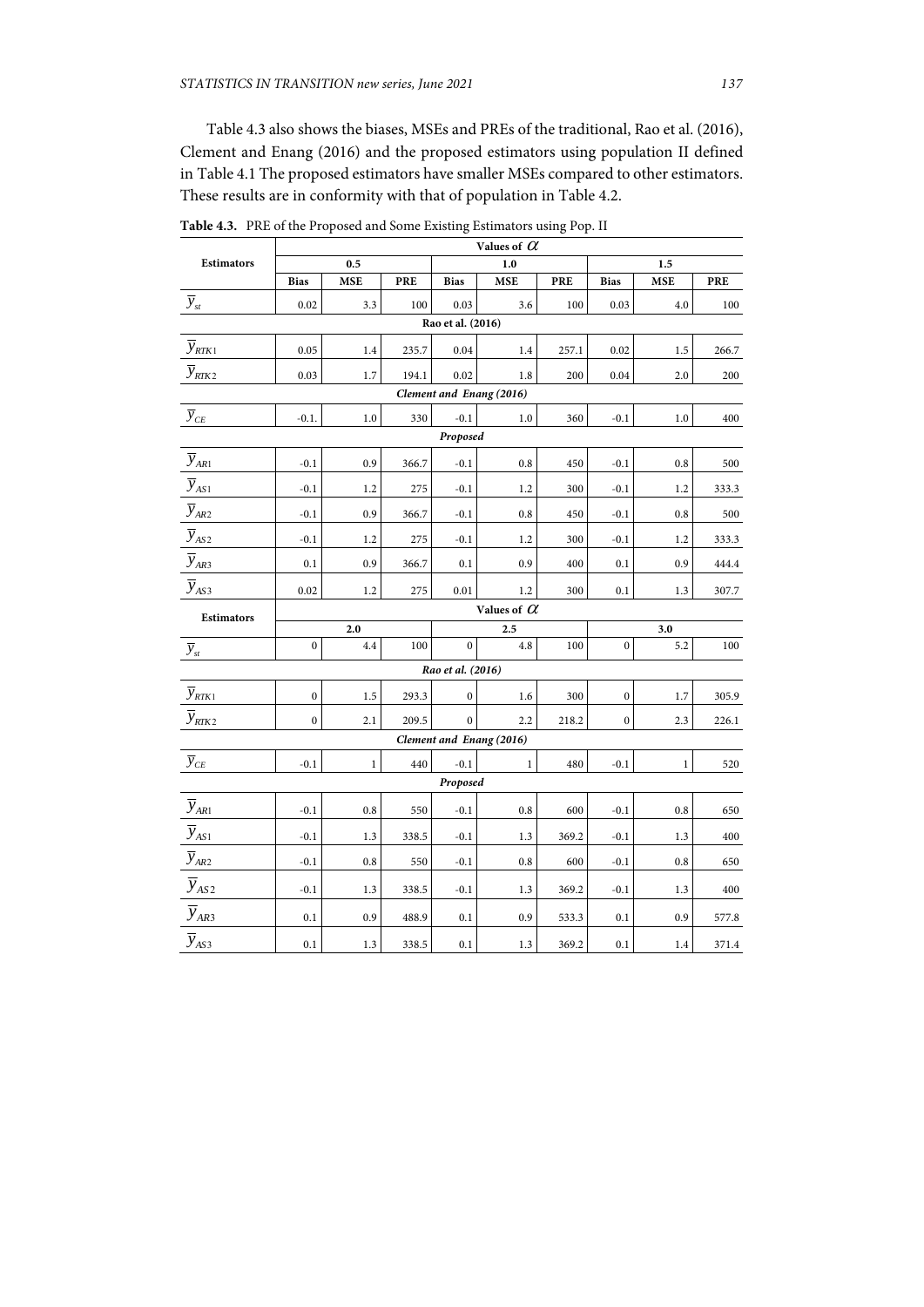Table 4.3 also shows the biases, MSEs and PREs of the traditional, Rao et al. (2016), Clement and Enang (2016) and the proposed estimators using population II defined in Table 4.1 The proposed estimators have smaller MSEs compared to other estimators. These results are in conformity with that of population in Table 4.2.

|                                          | Values of $\alpha$ |              |            |                   |                          |       |                  |              |            |  |  |
|------------------------------------------|--------------------|--------------|------------|-------------------|--------------------------|-------|------------------|--------------|------------|--|--|
| <b>Estimators</b>                        |                    | 0.5          |            | 1.0               |                          |       | 1.5              |              |            |  |  |
|                                          | <b>Bias</b>        | <b>MSE</b>   | <b>PRE</b> | <b>Bias</b>       | <b>MSE</b>               | PRE   | <b>Bias</b>      | <b>MSE</b>   | <b>PRE</b> |  |  |
| $\overline{y}_{st}$                      | 0.02               | 3.3          | 100        | 0.03              | 3.6                      | 100   | 0.03             | 4.0          | 100        |  |  |
| Rao et al. (2016)                        |                    |              |            |                   |                          |       |                  |              |            |  |  |
| $\overline{y}_{RTK1}$                    | 0.05               | 1.4          | 235.7      | 0.04              | 1.4                      | 257.1 | 0.02             | 1.5          | 266.7      |  |  |
| $\overline{y}_{\scriptscriptstyle RTK2}$ | 0.03               | 1.7          | 194.1      | 0.02              | 1.8                      | 200   | 0.04             | 2.0          | 200        |  |  |
| Clement and Enang (2016)                 |                    |              |            |                   |                          |       |                  |              |            |  |  |
| $\overline{y}_{\scriptscriptstyle CE}$   | $-0.1.$            | $1.0\,$      | 330        | $-0.1$            | 1.0                      | 360   | $-0.1$           | 1.0          | 400        |  |  |
|                                          | Proposed           |              |            |                   |                          |       |                  |              |            |  |  |
| $\overline{y}_{AR1}$                     | $-0.1$             | 0.9          | 366.7      | $-0.1$            | 0.8                      | 450   | $-0.1$           | 0.8          | 500        |  |  |
| $\overline{y}_{AS1}$                     | $-0.1$             | 1.2          | 275        | $-0.1$            | 1.2                      | 300   | $-0.1$           | 1.2          | 333.3      |  |  |
| $\overline{y}_{AR2}$                     | $-0.1$             | 0.9          | 366.7      | $-0.1$            | 0.8                      | 450   | $-0.1$           | 0.8          | 500        |  |  |
| $\overline{y}_{AS2}$                     | $-0.1$             | 1.2          | 275        | $-0.1$            | 1.2                      | 300   | $-0.1$           | 1.2          | 333.3      |  |  |
| $\overline{y}_{AR_2}$                    | 0.1                | 0.9          | 366.7      | 0.1               | 0.9                      | 400   | 0.1              | 0.9          | 444.4      |  |  |
| $\overline{y}_{AS3}$                     | 0.02               | 1.2          | 275        | 0.01              | 1.2                      | 300   | 0.1              | 1.3          | 307.7      |  |  |
| <b>Estimators</b>                        | Values of $\alpha$ |              |            |                   |                          |       |                  |              |            |  |  |
|                                          | 2.0                |              |            | 2.5               |                          |       | 3.0              |              |            |  |  |
| $\overline{y}_{\mathfrak s\mathfrak t}$  | $\mathbf{0}$       | 4.4          | 100        | $\theta$          | 4.8                      | 100   | $\mathbf{0}$     | 5.2          | 100        |  |  |
|                                          |                    |              |            | Rao et al. (2016) |                          |       |                  |              |            |  |  |
| $\overline{y}_{RTK1}$                    | $\mathbf{0}$       | 1.5          | 293.3      | $\boldsymbol{0}$  | 1.6                      | 300   | $\boldsymbol{0}$ | 1.7          | 305.9      |  |  |
| $\overline{y}_{RTK2}$                    | $\mathbf{0}$       | 2.1          | 209.5      | $\mathbf{0}$      | 2.2                      | 218.2 | $\mathbf{0}$     | 2.3          | 226.1      |  |  |
|                                          |                    |              |            |                   | Clement and Enang (2016) |       |                  |              |            |  |  |
| $\overline{y}_{CE}$                      | $-0.1$             | $\mathbf{1}$ | 440        | $-0.1$            | $\mathbf{1}$             | 480   | $-0.1$           | $\mathbf{1}$ | 520        |  |  |
|                                          |                    |              |            | Proposed          |                          |       |                  |              |            |  |  |
| $\overline{y}_{AR1}$                     | $-0.1$             | 0.8          | 550        | $-0.1$            | 0.8                      | 600   | $-0.1$           | 0.8          | 650        |  |  |
| $\overline{y}_{AS1}$                     | $-0.1$             | 1.3          | 338.5      | $-0.1$            | 1.3                      | 369.2 | $-0.1$           | 1.3          | 400        |  |  |
| $\overline{y}_{AR2}$                     | $-0.1$             | 0.8          | 550        | $-0.1$            | 0.8                      | 600   | $-0.1$           | 0.8          | 650        |  |  |
| $\overline{y}_{AS2}$                     | $-0.1$             | 1.3          | 338.5      | $-0.1$            | 1.3                      | 369.2 | $-0.1$           | 1.3          | 400        |  |  |
| $\overline{y}_{AR3}$                     | 0.1                | 0.9          | 488.9      | 0.1               | 0.9                      | 533.3 | 0.1              | 0.9          | 577.8      |  |  |
| $\overline{y}_{\text{AS}3}$              | 0.1                | 1.3          | 338.5      | 0.1               | 1.3                      | 369.2 | 0.1              | 1.4          | 371.4      |  |  |

**Table 4.3.** PRE of the Proposed and Some Existing Estimators using Pop. II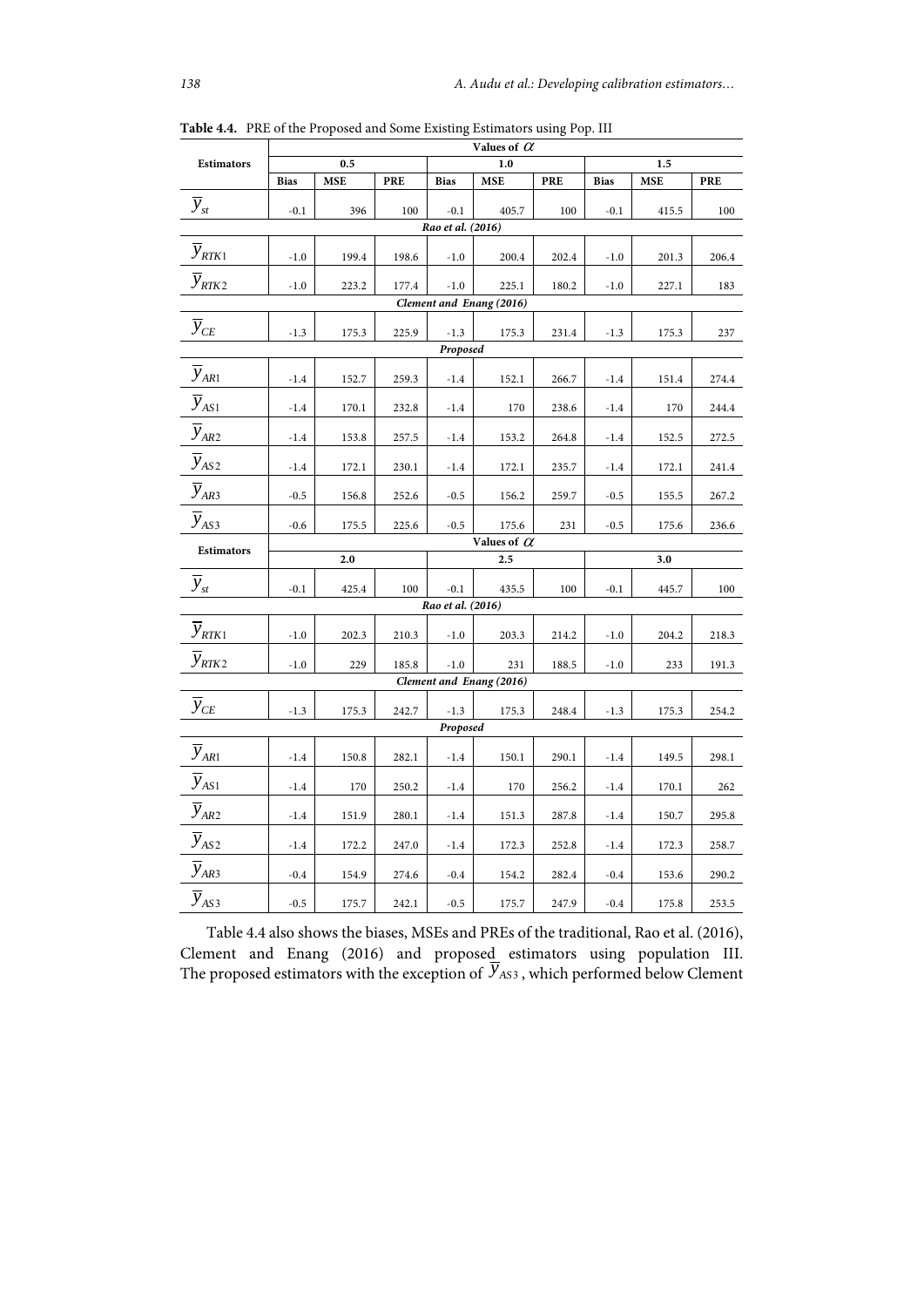|                              | Values of $\alpha$ |                    |       |                   |                          |            |             |       |            |  |  |  |
|------------------------------|--------------------|--------------------|-------|-------------------|--------------------------|------------|-------------|-------|------------|--|--|--|
| <b>Estimators</b>            |                    | 0.5                |       |                   | 1.0                      |            | 1.5         |       |            |  |  |  |
|                              | <b>Bias</b>        | <b>MSE</b>         | PRE   | <b>Bias</b>       | <b>MSE</b>               | <b>PRE</b> | <b>Bias</b> | MSE   | <b>PRE</b> |  |  |  |
| $\overline{y}_{st}$          | $-0.1$             | 396                | 100   | $-0.1$            | 405.7                    | 100        | $-0.1$      | 415.5 | 100        |  |  |  |
| Rao et al. (2016)            |                    |                    |       |                   |                          |            |             |       |            |  |  |  |
| $\overline{y}_{RTK1}$        | $-1.0$             | 199.4              | 198.6 | $-1.0$            | 200.4                    | 202.4      | $-1.0$      | 201.3 | 206.4      |  |  |  |
| $\overline{y}_{\text{RTK2}}$ | $-1.0$             | 223.2              | 177.4 | $-1.0$            | 225.1                    | 180.2      | $-1.0$      | 227.1 | 183        |  |  |  |
| Clement and Enang (2016)     |                    |                    |       |                   |                          |            |             |       |            |  |  |  |
| $\overline{y}_{CE}$          | $-1.3$             | 175.3              | 225.9 | $-1.3$            | 175.3                    | 231.4      | $-1.3$      | 175.3 | 237        |  |  |  |
|                              |                    |                    |       | Proposed          |                          |            |             |       |            |  |  |  |
| $\overline{y}_{AR1}$         | $-1.4$             | 152.7              | 259.3 | $-1.4$            | 152.1                    | 266.7      | $-1.4$      | 151.4 | 274.4      |  |  |  |
| $\overline{y}_{AS1}$         | $-1.4$             | 170.1              | 232.8 | $-1.4$            | 170                      | 238.6      | $-1.4$      | 170   | 244.4      |  |  |  |
| $\overline{y}_{AR2}$         | $-1.4$             | 153.8              | 257.5 | $-1.4$            | 153.2                    | 264.8      | $-1.4$      | 152.5 | 272.5      |  |  |  |
| $\overline{y}_{AS2}$         | $-1.4$             | 172.1              | 230.1 | $-1.4$            | 172.1                    | 235.7      | $-1.4$      | 172.1 | 241.4      |  |  |  |
| $\overline{y}_{AR3}$         | $-0.5$             | 156.8              | 252.6 | $-0.5$            | 156.2                    | 259.7      | $-0.5$      | 155.5 | 267.2      |  |  |  |
| $\overline{y}_{AS3}$         | $-0.6$             | 175.5              | 225.6 | $-0.5$            | 175.6                    | 231        | $-0.5$      | 175.6 | 236.6      |  |  |  |
| <b>Estimators</b>            |                    | Values of $\alpha$ |       |                   |                          |            |             |       |            |  |  |  |
|                              |                    | 2.0                |       |                   | 2.5                      |            |             | 3.0   |            |  |  |  |
| $\overline{y}_{st}$          | $-0.1$             | 425.4              | 100   | $-0.1$            | 435.5                    | 100        | $-0.1$      | 445.7 | 100        |  |  |  |
|                              |                    |                    |       | Rao et al. (2016) |                          |            |             |       |            |  |  |  |
| $\overline{y}_{RTK1}$        | $-1.0$             | 202.3              | 210.3 | $-1.0$            | 203.3                    | 214.2      | $-1.0$      | 204.2 | 218.3      |  |  |  |
| $\overline{y}_{RTK2}$        | $-1.0$             | 229                | 185.8 | $-1.0$            | 231                      | 188.5      | $-1.0$      | 233   | 191.3      |  |  |  |
|                              |                    |                    |       |                   | Clement and Enang (2016) |            |             |       |            |  |  |  |
| $\overline{y}_{CE}$          | $-1.3$             | 175.3              | 242.7 | $-1.3$            | 175.3                    | 248.4      | $-1.3$      | 175.3 | 254.2      |  |  |  |
| Proposed                     |                    |                    |       |                   |                          |            |             |       |            |  |  |  |
| $\overline{y}_{AR1}$         | $-1.4$             | 150.8              | 282.1 | $-1.4$            | 150.1                    | 290.1      | $-1.4$      | 149.5 | 298.1      |  |  |  |
| $\overline{y}_{AS1}$         | $-1.4$             | 170                | 250.2 | $-1.4$            | 170                      | 256.2      | $-1.4$      | 170.1 | 262        |  |  |  |
| $\overline{y}_{AR2}$         | $-1.4$             | 151.9              | 280.1 | $-1.4$            | 151.3                    | 287.8      | $-1.4$      | 150.7 | 295.8      |  |  |  |
| $\overline{y}_{AS2}$         | $-1.4$             | 172.2              | 247.0 | $-1.4$            | 172.3                    | 252.8      | $-1.4$      | 172.3 | 258.7      |  |  |  |
| $\overline{y}_{AR3}$         | $-0.4$             | 154.9              | 274.6 | $-0.4$            | 154.2                    | 282.4      | $-0.4$      | 153.6 | 290.2      |  |  |  |
| $\overline{y}_{AS3}$         | $-0.5$             | 175.7              | 242.1 | $-0.5$            | 175.7                    | 247.9      | $-0.4$      | 175.8 | 253.5      |  |  |  |

**Table 4.4.** PRE of the Proposed and Some Existing Estimators using Pop. III

Table 4.4 also shows the biases, MSEs and PREs of the traditional, Rao et al. (2016), Clement and Enang (2016) and proposed estimators using population III.<br>The proposed estimators with the exception of  $\overline{y}_{A S3}$ , which performed below Clement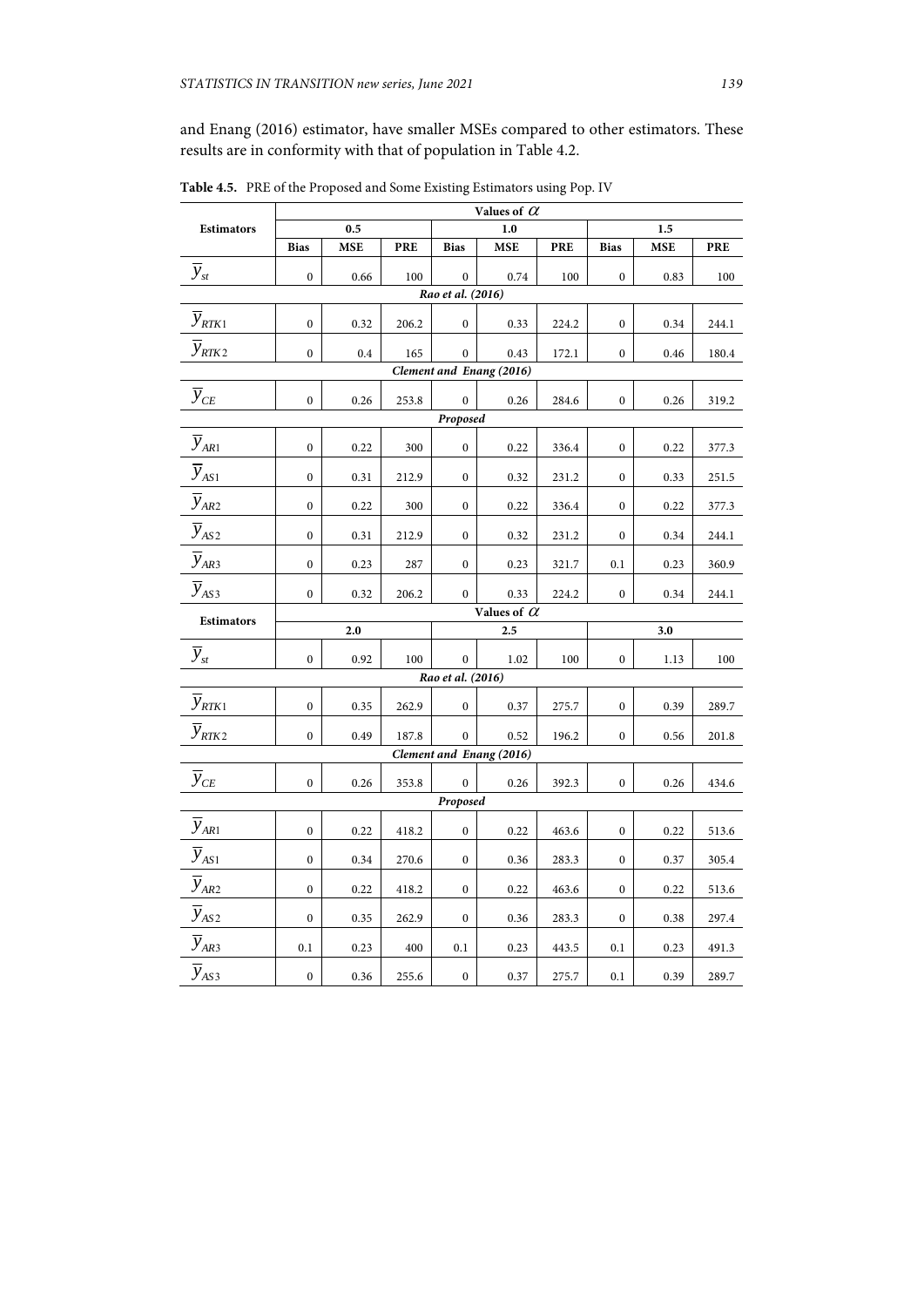and Enang (2016) estimator, have smaller MSEs compared to other estimators. These results are in conformity with that of population in Table 4.2.

|                                           | Values of $\alpha$ |            |            |                   |                          |            |                  |            |            |  |
|-------------------------------------------|--------------------|------------|------------|-------------------|--------------------------|------------|------------------|------------|------------|--|
| Estimators                                |                    | 0.5        |            | 1.0               |                          |            | 1.5              |            |            |  |
|                                           | <b>Bias</b>        | <b>MSE</b> | <b>PRE</b> | <b>Bias</b>       | <b>MSE</b>               | <b>PRE</b> | <b>Bias</b>      | <b>MSE</b> | <b>PRE</b> |  |
| $\overline{y}_{st}$                       | $\mathbf{0}$       | 0.66       | 100        | $\mathbf{0}$      | 0.74                     | 100        | $\mathbf{0}$     | 0.83       | 100        |  |
| Rao et al. (2016)                         |                    |            |            |                   |                          |            |                  |            |            |  |
| $\overline{y}_{RTK1}$                     | $\mathbf{0}$       | 0.32       | 206.2      | $\boldsymbol{0}$  | 0.33                     | 224.2      | $\boldsymbol{0}$ | 0.34       | 244.1      |  |
| $\overline{y}_{RTK2}$                     | $\boldsymbol{0}$   | 0.4        | 165        | $\boldsymbol{0}$  | 0.43                     | 172.1      | $\boldsymbol{0}$ | 0.46       | 180.4      |  |
| Clement and Enang (2016)                  |                    |            |            |                   |                          |            |                  |            |            |  |
| $\overline{y}_{CE}$                       | $\boldsymbol{0}$   | 0.26       | 253.8      | $\boldsymbol{0}$  | 0.26                     | 284.6      | $\boldsymbol{0}$ | 0.26       | 319.2      |  |
|                                           |                    |            |            | Proposed          |                          |            |                  |            |            |  |
| $\overline{y}_{AR1}$                      | $\boldsymbol{0}$   | 0.22       | 300        | $\boldsymbol{0}$  | 0.22                     | 336.4      | $\boldsymbol{0}$ | 0.22       | 377.3      |  |
| $\overline{y}_{AS1}$                      | $\boldsymbol{0}$   | 0.31       | 212.9      | $\bf{0}$          | 0.32                     | 231.2      | $\boldsymbol{0}$ | 0.33       | 251.5      |  |
| $\overline{y}_{AR2}$                      | $\boldsymbol{0}$   | 0.22       | 300        | $\boldsymbol{0}$  | 0.22                     | 336.4      | $\boldsymbol{0}$ | 0.22       | 377.3      |  |
| $\overline{y}_{AS2}$                      | $\boldsymbol{0}$   | 0.31       | 212.9      | $\bf{0}$          | 0.32                     | 231.2      | $\boldsymbol{0}$ | 0.34       | 244.1      |  |
| $\overline{y}_{AR3}$                      | $\boldsymbol{0}$   | 0.23       | 287        | $\boldsymbol{0}$  | 0.23                     | 321.7      | 0.1              | 0.23       | 360.9      |  |
| $\overline{y}_{\text{AS3}}$               | $\mathbf{0}$       | 0.32       | 206.2      | $\mathbf{0}$      | 0.33                     | 224.2      | $\boldsymbol{0}$ | 0.34       | 244.1      |  |
| Values of $\,\mathcal{C}\,$<br>Estimators |                    |            |            |                   |                          |            |                  |            |            |  |
|                                           |                    | 2.0        |            |                   | 2.5                      |            |                  | 3.0        |            |  |
| $\overline{y}_{st}$                       | $\boldsymbol{0}$   | 0.92       | 100        | $\boldsymbol{0}$  | 1.02                     | 100        | $\boldsymbol{0}$ | 1.13       | 100        |  |
|                                           |                    |            |            | Rao et al. (2016) |                          |            |                  |            |            |  |
| $\overline{y}_{RTK1}$                     | $\boldsymbol{0}$   | 0.35       | 262.9      | $\boldsymbol{0}$  | 0.37                     | 275.7      | $\boldsymbol{0}$ | 0.39       | 289.7      |  |
| $\overline{y}_{\text{RTK2}}$              | $\mathbf{0}$       | 0.49       | 187.8      | $\boldsymbol{0}$  | 0.52                     | 196.2      | $\mathbf{0}$     | 0.56       | 201.8      |  |
|                                           |                    |            |            |                   | Clement and Enang (2016) |            |                  |            |            |  |
| $\overline{y}_{\scriptscriptstyle CE}$    | $\mathbf{0}$       | 0.26       | 353.8      | $\mathbf{0}$      | 0.26                     | 392.3      | $\boldsymbol{0}$ | 0.26       | 434.6      |  |
| Proposed                                  |                    |            |            |                   |                          |            |                  |            |            |  |
| $\overline{y}_{AR1}$                      | $\overline{0}$     | 0.22       | 418.2      | $\boldsymbol{0}$  | 0.22                     | 463.6      | $\boldsymbol{0}$ | 0.22       | 513.6      |  |
| $\overline{y}_{AS1}$                      | $\boldsymbol{0}$   | 0.34       | 270.6      | $\boldsymbol{0}$  | 0.36                     | 283.3      | $\boldsymbol{0}$ | 0.37       | 305.4      |  |
| $\overline{y}_{AR2}$                      | $\boldsymbol{0}$   | 0.22       | 418.2      | $\bf{0}$          | 0.22                     | 463.6      | $\boldsymbol{0}$ | 0.22       | 513.6      |  |
| $\overline{y}_{AS2}$                      | $\boldsymbol{0}$   | 0.35       | 262.9      | $\boldsymbol{0}$  | 0.36                     | 283.3      | $\boldsymbol{0}$ | 0.38       | 297.4      |  |
| $\overline{y}_{AR3}$                      | 0.1                | 0.23       | 400        | 0.1               | 0.23                     | 443.5      | 0.1              | 0.23       | 491.3      |  |
| $\overline{y}_{AS3}$                      | $\boldsymbol{0}$   | 0.36       | 255.6      | $\boldsymbol{0}$  | 0.37                     | 275.7      | 0.1              | 0.39       | 289.7      |  |

**Table 4.5.** PRE of the Proposed and Some Existing Estimators using Pop. IV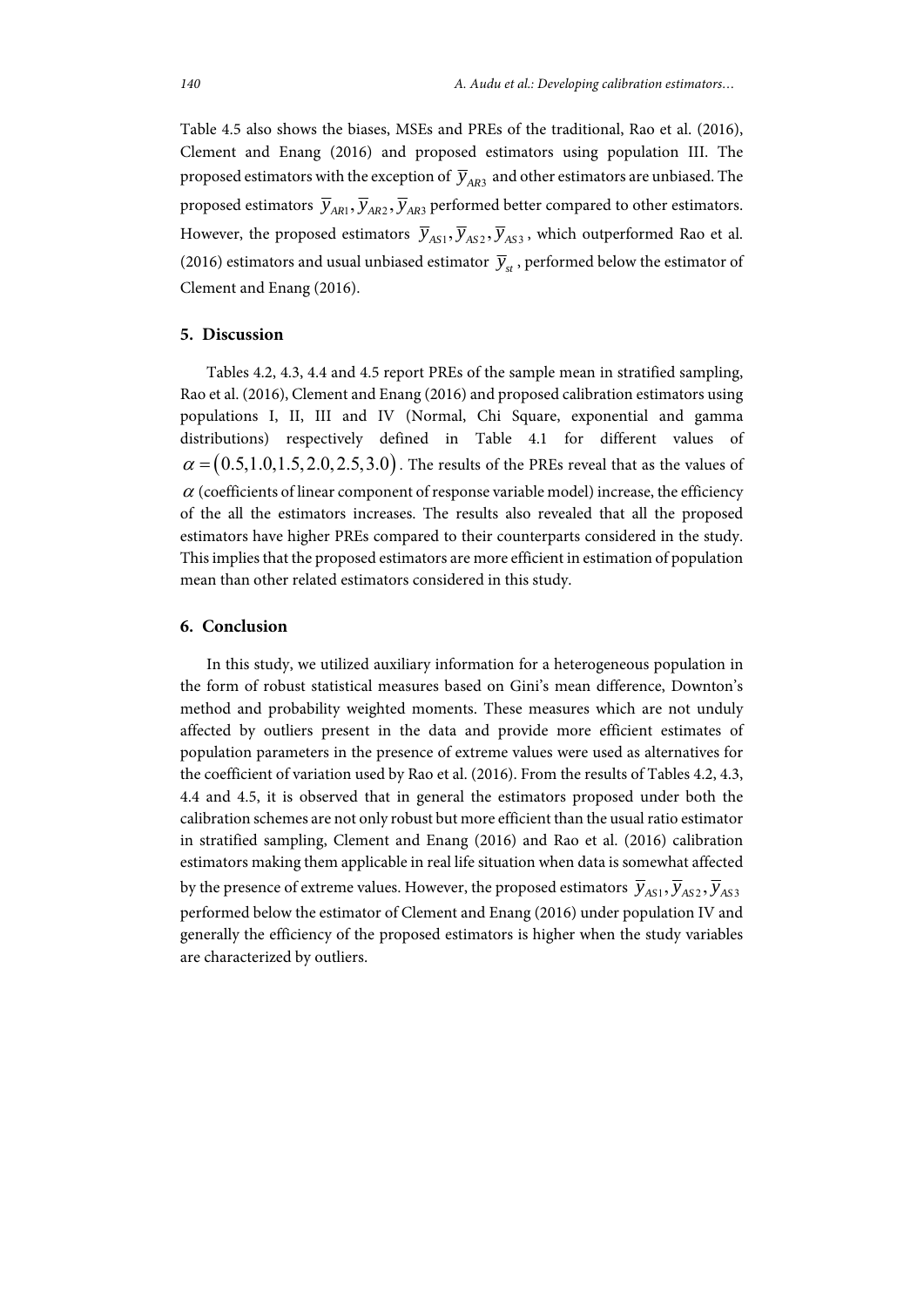Table 4.5 also shows the biases, MSEs and PREs of the traditional, Rao et al. (2016), Clement and Enang (2016) and proposed estimators using population III. The proposed estimators with the exception of  $\overline{y}_{AR3}$  and other estimators are unbiased. The proposed estimators  $\overline{y}_{AR1}, \overline{y}_{AR2}, \overline{y}_{AR3}$  performed better compared to other estimators. However, the proposed estimators  $\overline{y}_{AS1}, \overline{y}_{AS2}, \overline{y}_{AS3}$ , which outperformed Rao et al. (2016) estimators and usual unbiased estimator  $\overline{y}_{st}$ , performed below the estimator of Clement and Enang (2016).

#### **5. Discussion**

Tables 4.2, 4.3, 4.4 and 4.5 report PREs of the sample mean in stratified sampling, Rao et al. (2016), Clement and Enang (2016) and proposed calibration estimators using populations I, II, III and IV (Normal, Chi Square, exponential and gamma distributions) respectively defined in Table 4.1 for different values of  $\alpha = (0.5,1.0,1.5,2.0,2.5,3.0)$ . The results of the PREs reveal that as the values of  $\alpha$  (coefficients of linear component of response variable model) increase, the efficiency of the all the estimators increases. The results also revealed that all the proposed estimators have higher PREs compared to their counterparts considered in the study. This implies that the proposed estimators are more efficient in estimation of population mean than other related estimators considered in this study.

#### **6. Conclusion**

In this study, we utilized auxiliary information for a heterogeneous population in the form of robust statistical measures based on Gini's mean difference, Downton's method and probability weighted moments. These measures which are not unduly affected by outliers present in the data and provide more efficient estimates of population parameters in the presence of extreme values were used as alternatives for the coefficient of variation used by Rao et al. (2016). From the results of Tables 4.2, 4.3, 4.4 and 4.5, it is observed that in general the estimators proposed under both the calibration schemes are not only robust but more efficient than the usual ratio estimator in stratified sampling, Clement and Enang (2016) and Rao et al. (2016) calibration estimators making them applicable in real life situation when data is somewhat affected by the presence of extreme values. However, the proposed estimators  $\overline{y}_{AS1}, \overline{y}_{AS2}, \overline{y}_{AS3}$ performed below the estimator of Clement and Enang (2016) under population IV and generally the efficiency of the proposed estimators is higher when the study variables are characterized by outliers.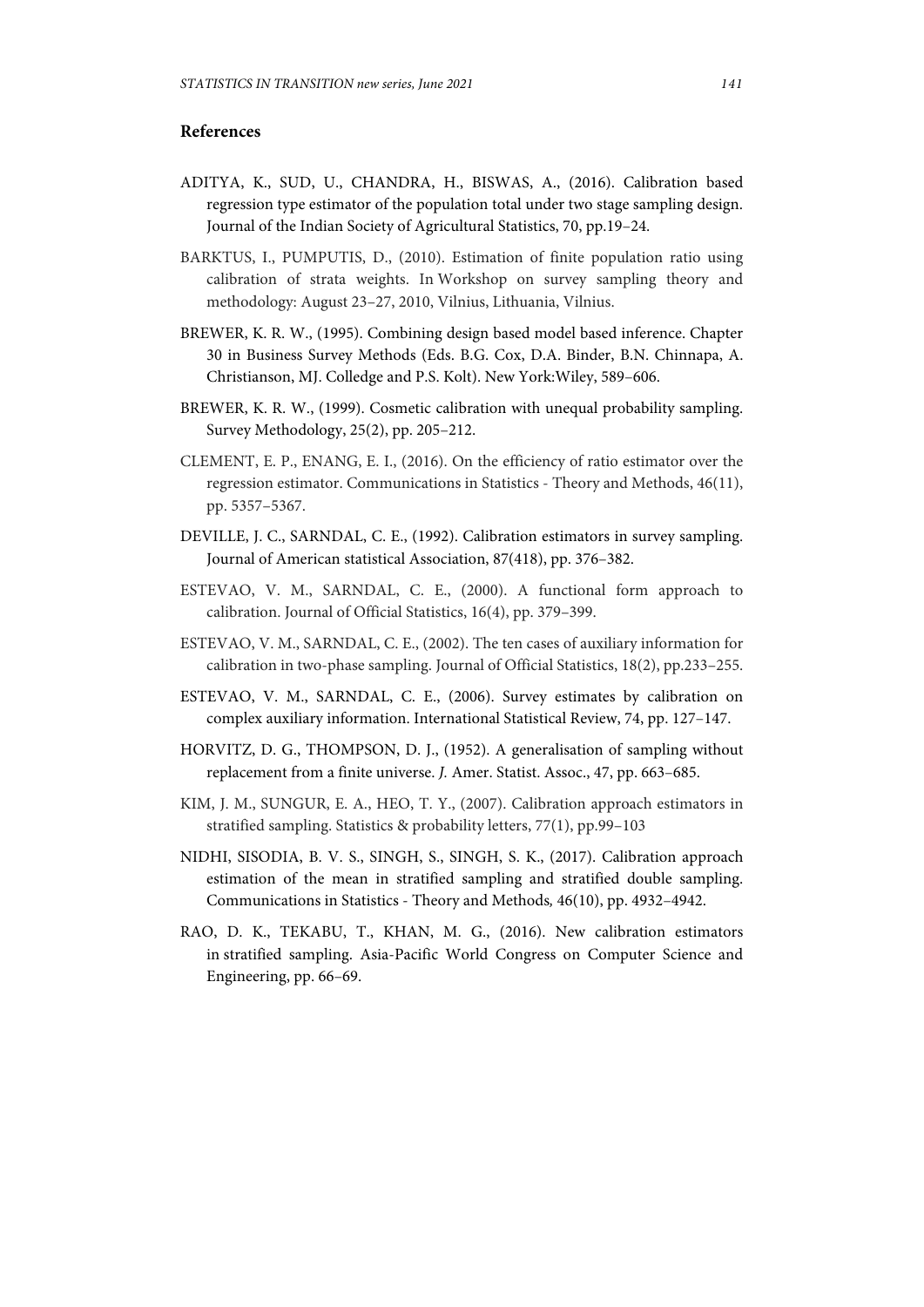# **References**

- ADITYA, K., SUD, U., CHANDRA, H., BISWAS, A., (2016). Calibration based regression type estimator of the population total under two stage sampling design. Journal of the Indian Society of Agricultural Statistics, 70, pp.19–24.
- BARKTUS, I., PUMPUTIS, D., (2010). Estimation of finite population ratio using calibration of strata weights. In Workshop on survey sampling theory and methodology: August 23–27, 2010, Vilnius, Lithuania, Vilnius.
- BREWER, K. R. W., (1995). Combining design based model based inference. Chapter 30 in Business Survey Methods (Eds. B.G. Cox, D.A. Binder, B.N. Chinnapa, A. Christianson, MJ. Colledge and P.S. Kolt). New York:Wiley, 589–606.
- BREWER, K. R. W., (1999). Cosmetic calibration with unequal probability sampling. Survey Methodology, 25(2), pp. 205–212.
- CLEMENT, E. P., ENANG, E. I., (2016). On the efficiency of ratio estimator over the regression estimator. Communications in Statistics - Theory and Methods, 46(11), pp. 5357–5367.
- DEVILLE, J. C., SARNDAL, C. E., (1992). Calibration estimators in survey sampling. Journal of American statistical Association, 87(418), pp. 376–382.
- ESTEVAO, V. M., SARNDAL, C. E., (2000). A functional form approach to calibration. Journal of Official Statistics, 16(4), pp. 379–399.
- ESTEVAO, V. M., SARNDAL, C. E., (2002). The ten cases of auxiliary information for calibration in two-phase sampling. Journal of Official Statistics, 18(2), pp.233–255.
- ESTEVAO, V. M., SARNDAL, C. E., (2006). Survey estimates by calibration on complex auxiliary information. International Statistical Review, 74, pp. 127–147.
- HORVITZ, D. G., THOMPSON, D. J., (1952). A generalisation of sampling without replacement from a finite universe. *J.* Amer. Statist. Assoc., 47, pp. 663–685.
- KIM, J. M., SUNGUR, E. A., HEO, T. Y., (2007). Calibration approach estimators in stratified sampling. Statistics & probability letters, 77(1), pp.99–103
- NIDHI, SISODIA, B. V. S., SINGH, S., SINGH, S. K., (2017). Calibration approach estimation of the mean in stratified sampling and stratified double sampling. Communications in Statistics - Theory and Methods*,* 46(10), pp. 4932–4942.
- RAO, D. K., TEKABU, T., KHAN, M. G., (2016). New calibration estimators in stratified sampling. Asia-Pacific World Congress on Computer Science and Engineering, pp. 66–69.